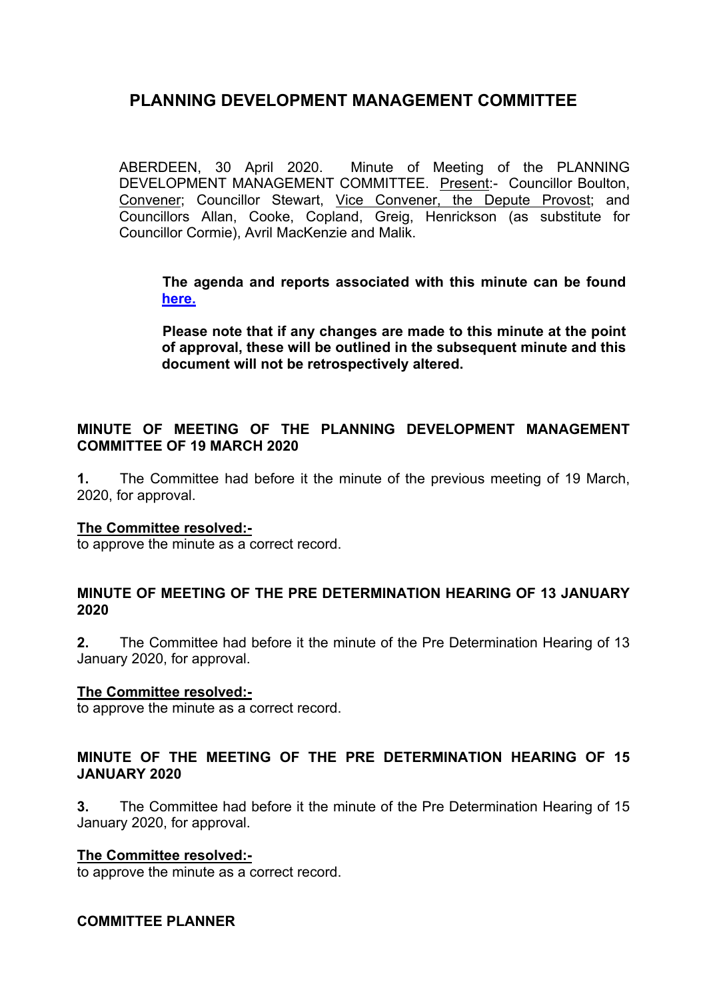ABERDEEN, 30 April 2020. Minute of Meeting of the PLANNING DEVELOPMENT MANAGEMENT COMMITTEE. Present:- Councillor Boulton, Convener; Councillor Stewart, Vice Convener, the Depute Provost; and Councillors Allan, Cooke, Copland, Greig, Henrickson (as substitute for Councillor Cormie), Avril MacKenzie and Malik.

**The agenda and reports associated with this minute can be found [here.](https://committees.aberdeencity.gov.uk/ieListDocuments.aspx?CId=348&MId=7091&Ver=4)** 

**Please note that if any changes are made to this minute at the point of approval, these will be outlined in the subsequent minute and this document will not be retrospectively altered.**

# **MINUTE OF MEETING OF THE PLANNING DEVELOPMENT MANAGEMENT COMMITTEE OF 19 MARCH 2020**

**1.** The Committee had before it the minute of the previous meeting of 19 March, 2020, for approval.

#### **The Committee resolved:-**

to approve the minute as a correct record.

#### **MINUTE OF MEETING OF THE PRE DETERMINATION HEARING OF 13 JANUARY 2020**

**2.** The Committee had before it the minute of the Pre Determination Hearing of 13 January 2020, for approval.

#### **The Committee resolved:-**

to approve the minute as a correct record.

# **MINUTE OF THE MEETING OF THE PRE DETERMINATION HEARING OF 15 JANUARY 2020**

**3.** The Committee had before it the minute of the Pre Determination Hearing of 15 January 2020, for approval.

#### **The Committee resolved:-**

to approve the minute as a correct record.

#### **COMMITTEE PLANNER**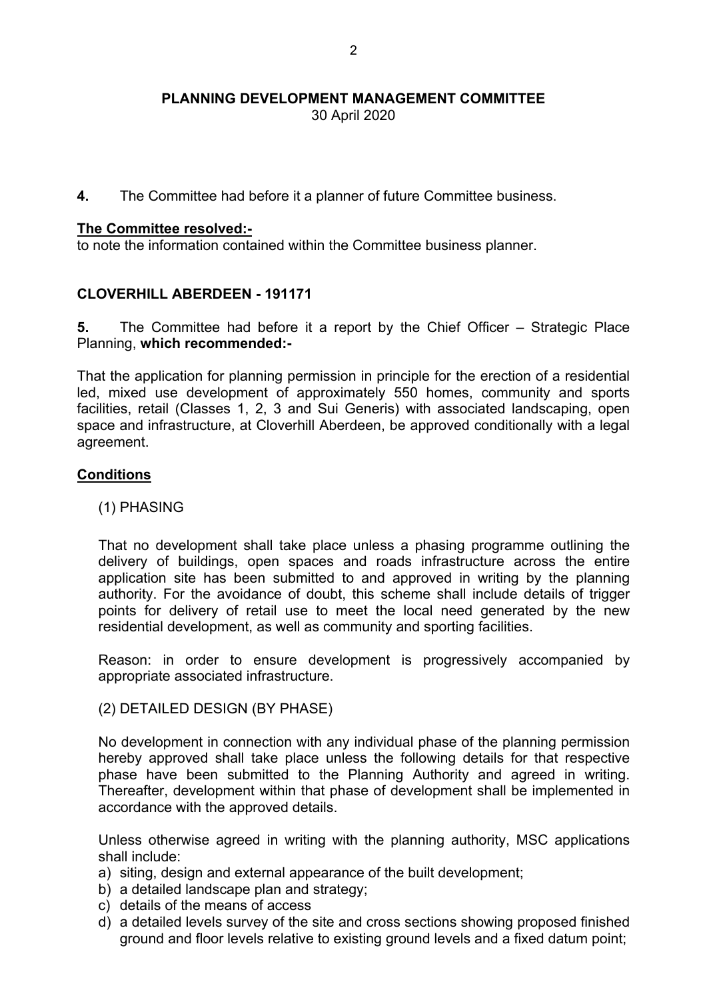30 April 2020

**4.** The Committee had before it a planner of future Committee business.

#### **The Committee resolved:-**

to note the information contained within the Committee business planner.

# **CLOVERHILL ABERDEEN - 191171**

**5.** The Committee had before it a report by the Chief Officer – Strategic Place Planning, **which recommended:-**

That the application for planning permission in principle for the erection of a residential led, mixed use development of approximately 550 homes, community and sports facilities, retail (Classes 1, 2, 3 and Sui Generis) with associated landscaping, open space and infrastructure, at Cloverhill Aberdeen, be approved conditionally with a legal agreement.

# **Conditions**

(1) PHASING

That no development shall take place unless a phasing programme outlining the delivery of buildings, open spaces and roads infrastructure across the entire application site has been submitted to and approved in writing by the planning authority. For the avoidance of doubt, this scheme shall include details of trigger points for delivery of retail use to meet the local need generated by the new residential development, as well as community and sporting facilities.

Reason: in order to ensure development is progressively accompanied by appropriate associated infrastructure.

(2) DETAILED DESIGN (BY PHASE)

No development in connection with any individual phase of the planning permission hereby approved shall take place unless the following details for that respective phase have been submitted to the Planning Authority and agreed in writing. Thereafter, development within that phase of development shall be implemented in accordance with the approved details.

Unless otherwise agreed in writing with the planning authority, MSC applications shall include:

- a) siting, design and external appearance of the built development;
- b) a detailed landscape plan and strategy;
- c) details of the means of access
- d) a detailed levels survey of the site and cross sections showing proposed finished ground and floor levels relative to existing ground levels and a fixed datum point;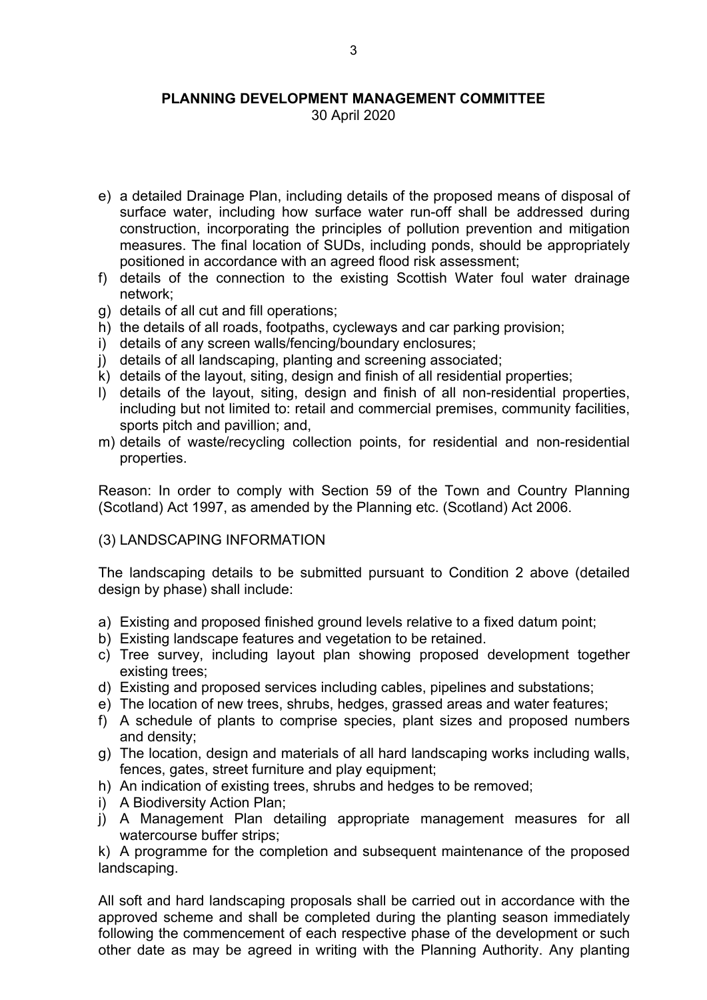30 April 2020

- e) a detailed Drainage Plan, including details of the proposed means of disposal of surface water, including how surface water run-off shall be addressed during construction, incorporating the principles of pollution prevention and mitigation measures. The final location of SUDs, including ponds, should be appropriately positioned in accordance with an agreed flood risk assessment;
- f) details of the connection to the existing Scottish Water foul water drainage network;
- g) details of all cut and fill operations;
- h) the details of all roads, footpaths, cycleways and car parking provision;
- i) details of any screen walls/fencing/boundary enclosures;
- j) details of all landscaping, planting and screening associated;
- k) details of the layout, siting, design and finish of all residential properties;
- l) details of the layout, siting, design and finish of all non-residential properties, including but not limited to: retail and commercial premises, community facilities, sports pitch and pavillion; and,
- m) details of waste/recycling collection points, for residential and non-residential properties.

Reason: In order to comply with Section 59 of the Town and Country Planning (Scotland) Act 1997, as amended by the Planning etc. (Scotland) Act 2006.

# (3) LANDSCAPING INFORMATION

The landscaping details to be submitted pursuant to Condition 2 above (detailed design by phase) shall include:

- a) Existing and proposed finished ground levels relative to a fixed datum point;
- b) Existing landscape features and vegetation to be retained.
- c) Tree survey, including layout plan showing proposed development together existing trees;
- d) Existing and proposed services including cables, pipelines and substations;
- e) The location of new trees, shrubs, hedges, grassed areas and water features;
- f) A schedule of plants to comprise species, plant sizes and proposed numbers and density;
- g) The location, design and materials of all hard landscaping works including walls, fences, gates, street furniture and play equipment;
- h) An indication of existing trees, shrubs and hedges to be removed;
- i) A Biodiversity Action Plan;
- j) A Management Plan detailing appropriate management measures for all watercourse buffer strips;

k) A programme for the completion and subsequent maintenance of the proposed landscaping.

All soft and hard landscaping proposals shall be carried out in accordance with the approved scheme and shall be completed during the planting season immediately following the commencement of each respective phase of the development or such other date as may be agreed in writing with the Planning Authority. Any planting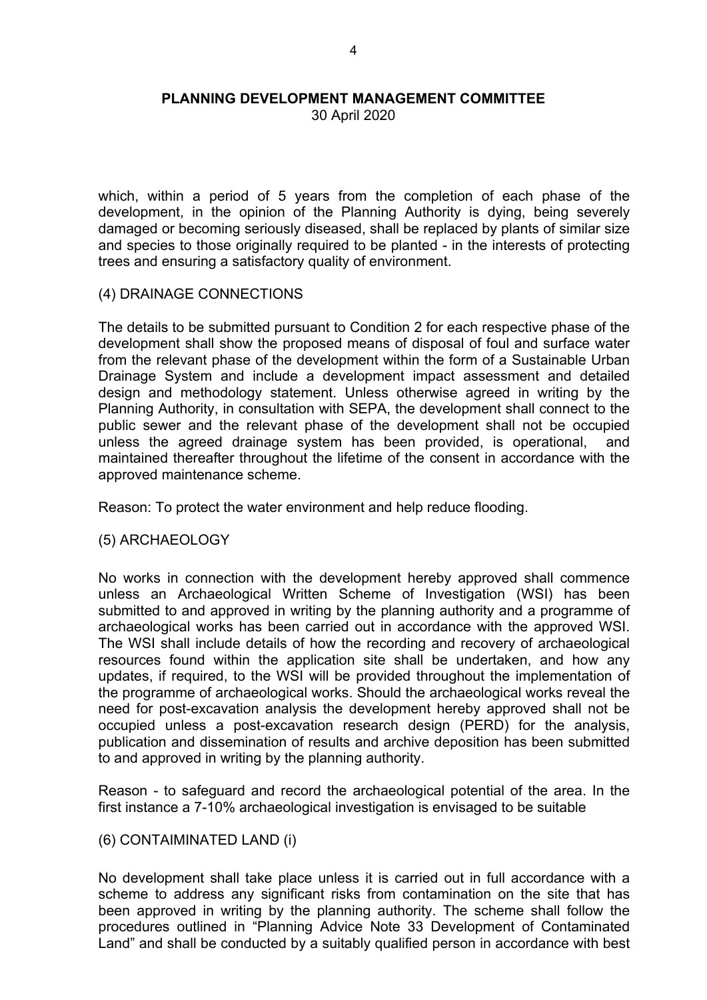30 April 2020

which, within a period of 5 years from the completion of each phase of the development, in the opinion of the Planning Authority is dying, being severely damaged or becoming seriously diseased, shall be replaced by plants of similar size and species to those originally required to be planted - in the interests of protecting trees and ensuring a satisfactory quality of environment.

#### (4) DRAINAGE CONNECTIONS

The details to be submitted pursuant to Condition 2 for each respective phase of the development shall show the proposed means of disposal of foul and surface water from the relevant phase of the development within the form of a Sustainable Urban Drainage System and include a development impact assessment and detailed design and methodology statement. Unless otherwise agreed in writing by the Planning Authority, in consultation with SEPA, the development shall connect to the public sewer and the relevant phase of the development shall not be occupied unless the agreed drainage system has been provided, is operational, and maintained thereafter throughout the lifetime of the consent in accordance with the approved maintenance scheme.

Reason: To protect the water environment and help reduce flooding.

#### (5) ARCHAEOLOGY

No works in connection with the development hereby approved shall commence unless an Archaeological Written Scheme of Investigation (WSI) has been submitted to and approved in writing by the planning authority and a programme of archaeological works has been carried out in accordance with the approved WSI. The WSI shall include details of how the recording and recovery of archaeological resources found within the application site shall be undertaken, and how any updates, if required, to the WSI will be provided throughout the implementation of the programme of archaeological works. Should the archaeological works reveal the need for post-excavation analysis the development hereby approved shall not be occupied unless a post-excavation research design (PERD) for the analysis, publication and dissemination of results and archive deposition has been submitted to and approved in writing by the planning authority.

Reason - to safeguard and record the archaeological potential of the area. In the first instance a 7-10% archaeological investigation is envisaged to be suitable

# (6) CONTAIMINATED LAND (i)

No development shall take place unless it is carried out in full accordance with a scheme to address any significant risks from contamination on the site that has been approved in writing by the planning authority. The scheme shall follow the procedures outlined in "Planning Advice Note 33 Development of Contaminated Land" and shall be conducted by a suitably qualified person in accordance with best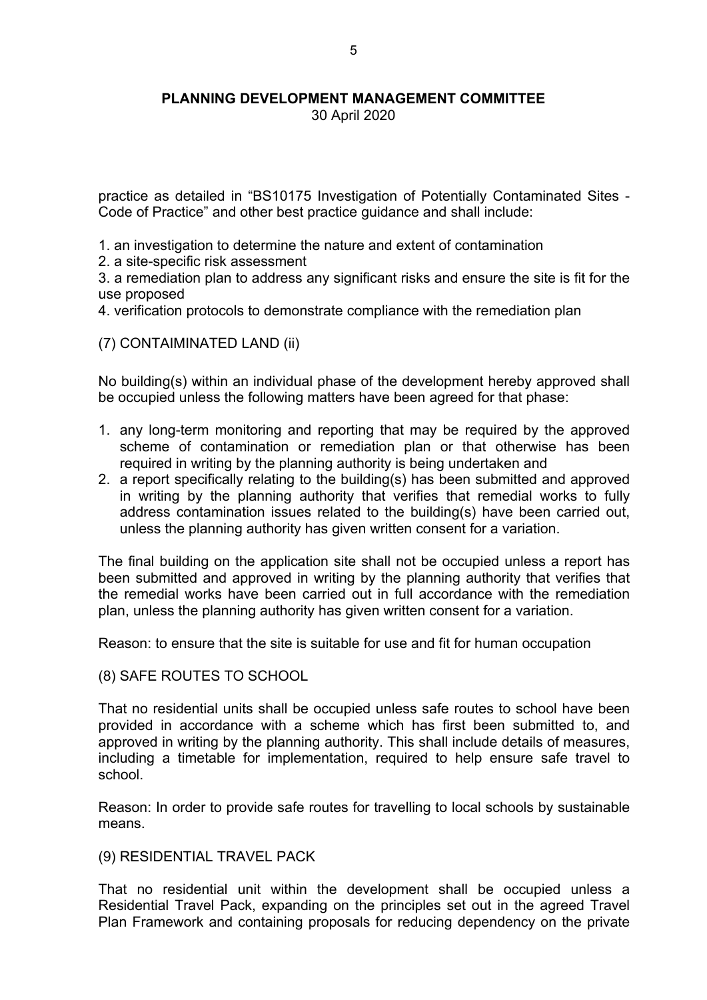30 April 2020

practice as detailed in "BS10175 Investigation of Potentially Contaminated Sites - Code of Practice" and other best practice guidance and shall include:

- 1. an investigation to determine the nature and extent of contamination
- 2. a site-specific risk assessment

3. a remediation plan to address any significant risks and ensure the site is fit for the use proposed

4. verification protocols to demonstrate compliance with the remediation plan

(7) CONTAIMINATED LAND (ii)

No building(s) within an individual phase of the development hereby approved shall be occupied unless the following matters have been agreed for that phase:

- 1. any long-term monitoring and reporting that may be required by the approved scheme of contamination or remediation plan or that otherwise has been required in writing by the planning authority is being undertaken and
- 2. a report specifically relating to the building(s) has been submitted and approved in writing by the planning authority that verifies that remedial works to fully address contamination issues related to the building(s) have been carried out, unless the planning authority has given written consent for a variation.

The final building on the application site shall not be occupied unless a report has been submitted and approved in writing by the planning authority that verifies that the remedial works have been carried out in full accordance with the remediation plan, unless the planning authority has given written consent for a variation.

Reason: to ensure that the site is suitable for use and fit for human occupation

(8) SAFE ROUTES TO SCHOOL

That no residential units shall be occupied unless safe routes to school have been provided in accordance with a scheme which has first been submitted to, and approved in writing by the planning authority. This shall include details of measures, including a timetable for implementation, required to help ensure safe travel to school.

Reason: In order to provide safe routes for travelling to local schools by sustainable means.

(9) RESIDENTIAL TRAVEL PACK

That no residential unit within the development shall be occupied unless a Residential Travel Pack, expanding on the principles set out in the agreed Travel Plan Framework and containing proposals for reducing dependency on the private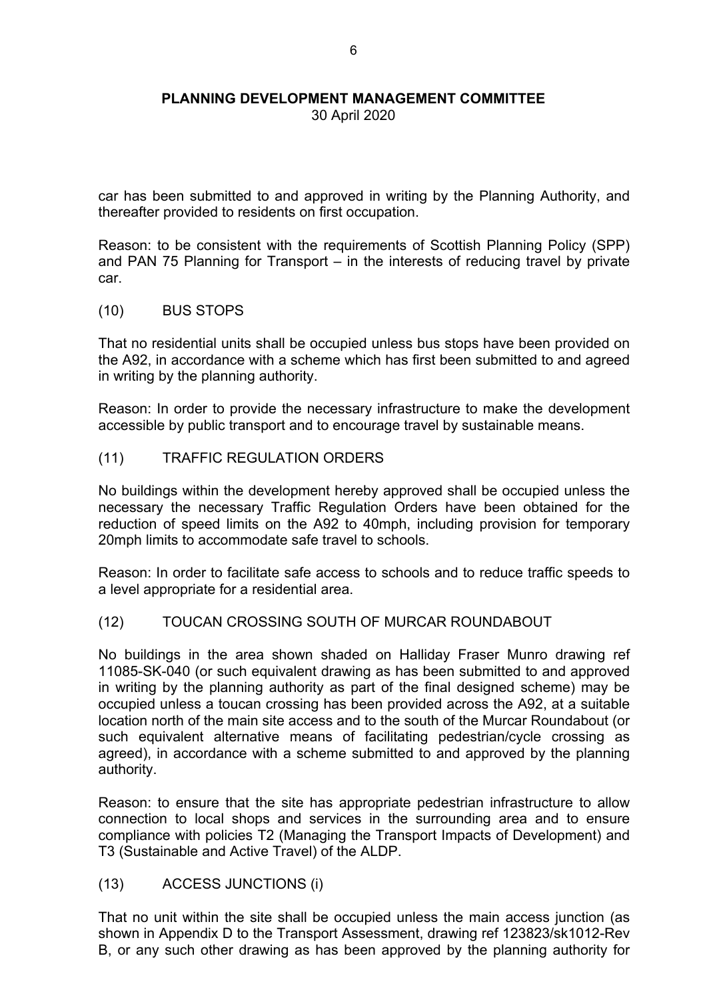30 April 2020

car has been submitted to and approved in writing by the Planning Authority, and thereafter provided to residents on first occupation.

Reason: to be consistent with the requirements of Scottish Planning Policy (SPP) and PAN 75 Planning for Transport – in the interests of reducing travel by private car.

(10) BUS STOPS

That no residential units shall be occupied unless bus stops have been provided on the A92, in accordance with a scheme which has first been submitted to and agreed in writing by the planning authority.

Reason: In order to provide the necessary infrastructure to make the development accessible by public transport and to encourage travel by sustainable means.

# (11) TRAFFIC REGULATION ORDERS

No buildings within the development hereby approved shall be occupied unless the necessary the necessary Traffic Regulation Orders have been obtained for the reduction of speed limits on the A92 to 40mph, including provision for temporary 20mph limits to accommodate safe travel to schools.

Reason: In order to facilitate safe access to schools and to reduce traffic speeds to a level appropriate for a residential area.

#### (12) TOUCAN CROSSING SOUTH OF MURCAR ROUNDABOUT

No buildings in the area shown shaded on Halliday Fraser Munro drawing ref 11085-SK-040 (or such equivalent drawing as has been submitted to and approved in writing by the planning authority as part of the final designed scheme) may be occupied unless a toucan crossing has been provided across the A92, at a suitable location north of the main site access and to the south of the Murcar Roundabout (or such equivalent alternative means of facilitating pedestrian/cycle crossing as agreed), in accordance with a scheme submitted to and approved by the planning authority.

Reason: to ensure that the site has appropriate pedestrian infrastructure to allow connection to local shops and services in the surrounding area and to ensure compliance with policies T2 (Managing the Transport Impacts of Development) and T3 (Sustainable and Active Travel) of the ALDP.

(13) ACCESS JUNCTIONS (i)

That no unit within the site shall be occupied unless the main access junction (as shown in Appendix D to the Transport Assessment, drawing ref 123823/sk1012-Rev B, or any such other drawing as has been approved by the planning authority for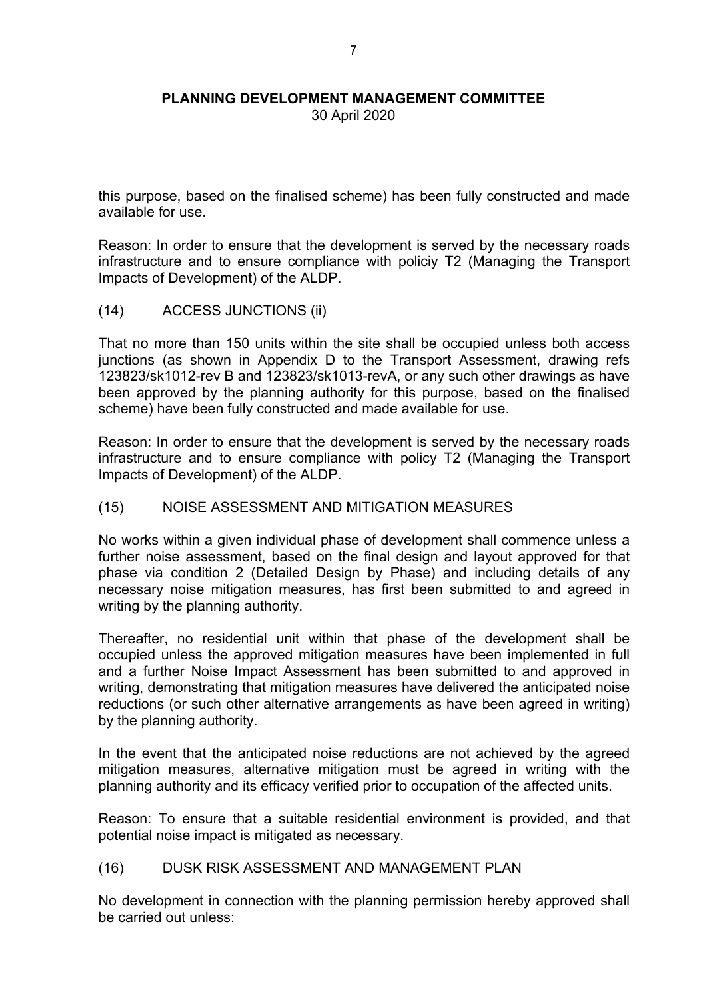30 April 2020

this purpose, based on the finalised scheme) has been fully constructed and made available for use.

Reason: In order to ensure that the development is served by the necessary roads infrastructure and to ensure compliance with policiy T2 (Managing the Transport Impacts of Development) of the ALDP.

(14) ACCESS JUNCTIONS (ii)

That no more than 150 units within the site shall be occupied unless both access junctions (as shown in Appendix D to the Transport Assessment, drawing refs 123823/sk1012-rev B and 123823/sk1013-revA, or any such other drawings as have been approved by the planning authority for this purpose, based on the finalised scheme) have been fully constructed and made available for use.

Reason: In order to ensure that the development is served by the necessary roads infrastructure and to ensure compliance with policy T2 (Managing the Transport Impacts of Development) of the ALDP.

# (15) NOISE ASSESSMENT AND MITIGATION MEASURES

No works within a given individual phase of development shall commence unless a further noise assessment, based on the final design and layout approved for that phase via condition 2 (Detailed Design by Phase) and including details of any necessary noise mitigation measures, has first been submitted to and agreed in writing by the planning authority.

Thereafter, no residential unit within that phase of the development shall be occupied unless the approved mitigation measures have been implemented in full and a further Noise Impact Assessment has been submitted to and approved in writing, demonstrating that mitigation measures have delivered the anticipated noise reductions (or such other alternative arrangements as have been agreed in writing) by the planning authority.

In the event that the anticipated noise reductions are not achieved by the agreed mitigation measures, alternative mitigation must be agreed in writing with the planning authority and its efficacy verified prior to occupation of the affected units.

Reason: To ensure that a suitable residential environment is provided, and that potential noise impact is mitigated as necessary.

# (16) DUSK RISK ASSESSMENT AND MANAGEMENT PLAN

No development in connection with the planning permission hereby approved shall be carried out unless: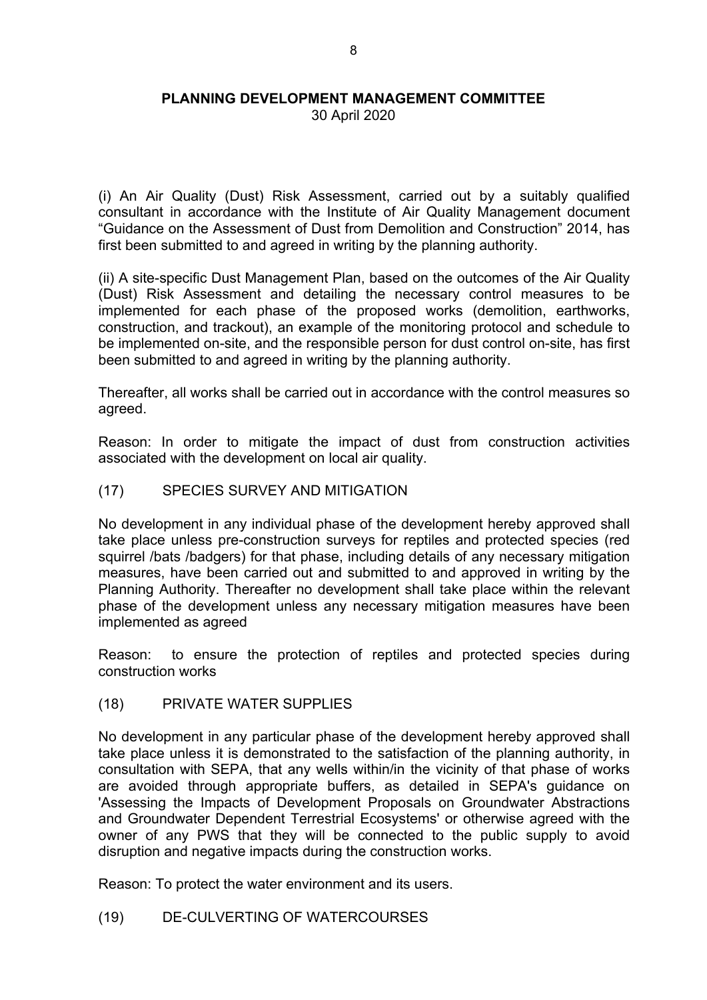30 April 2020

(i) An Air Quality (Dust) Risk Assessment, carried out by a suitably qualified consultant in accordance with the Institute of Air Quality Management document "Guidance on the Assessment of Dust from Demolition and Construction" 2014, has first been submitted to and agreed in writing by the planning authority.

(ii) A site-specific Dust Management Plan, based on the outcomes of the Air Quality (Dust) Risk Assessment and detailing the necessary control measures to be implemented for each phase of the proposed works (demolition, earthworks, construction, and trackout), an example of the monitoring protocol and schedule to be implemented on-site, and the responsible person for dust control on-site, has first been submitted to and agreed in writing by the planning authority.

Thereafter, all works shall be carried out in accordance with the control measures so agreed.

Reason: In order to mitigate the impact of dust from construction activities associated with the development on local air quality.

#### (17) SPECIES SURVEY AND MITIGATION

No development in any individual phase of the development hereby approved shall take place unless pre-construction surveys for reptiles and protected species (red squirrel /bats /badgers) for that phase, including details of any necessary mitigation measures, have been carried out and submitted to and approved in writing by the Planning Authority. Thereafter no development shall take place within the relevant phase of the development unless any necessary mitigation measures have been implemented as agreed

Reason: to ensure the protection of reptiles and protected species during construction works

(18) PRIVATE WATER SUPPLIES

No development in any particular phase of the development hereby approved shall take place unless it is demonstrated to the satisfaction of the planning authority, in consultation with SEPA, that any wells within/in the vicinity of that phase of works are avoided through appropriate buffers, as detailed in SEPA's guidance on 'Assessing the Impacts of Development Proposals on Groundwater Abstractions and Groundwater Dependent Terrestrial Ecosystems' or otherwise agreed with the owner of any PWS that they will be connected to the public supply to avoid disruption and negative impacts during the construction works.

Reason: To protect the water environment and its users.

(19) DE-CULVERTING OF WATERCOURSES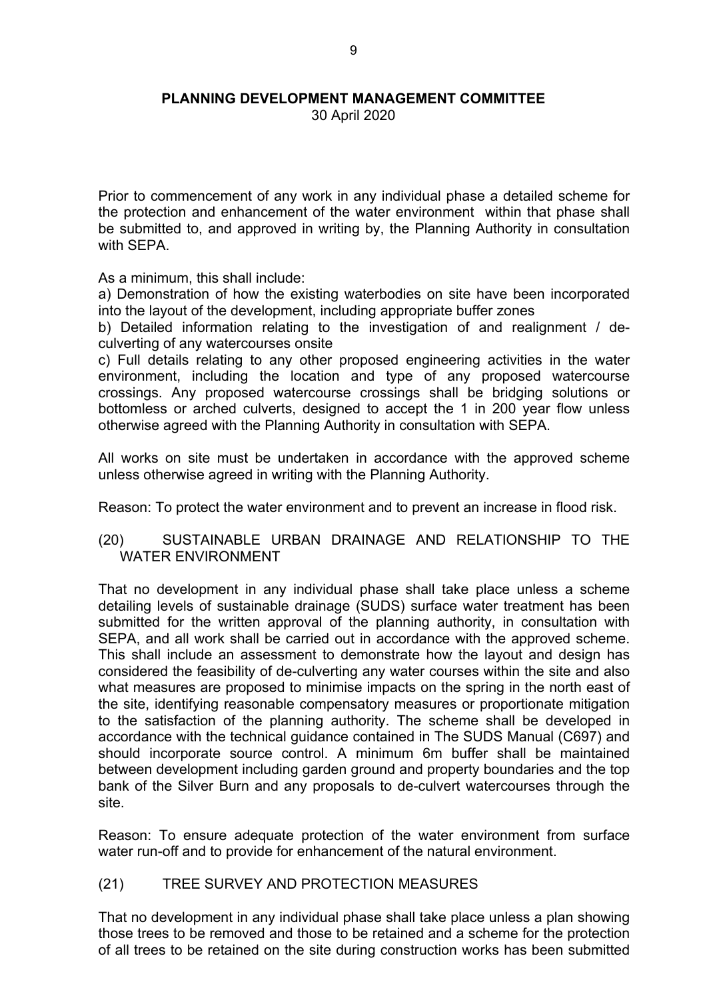30 April 2020

Prior to commencement of any work in any individual phase a detailed scheme for the protection and enhancement of the water environment within that phase shall be submitted to, and approved in writing by, the Planning Authority in consultation with SFPA

As a minimum, this shall include:

a) Demonstration of how the existing waterbodies on site have been incorporated into the layout of the development, including appropriate buffer zones

b) Detailed information relating to the investigation of and realignment / deculverting of any watercourses onsite

c) Full details relating to any other proposed engineering activities in the water environment, including the location and type of any proposed watercourse crossings. Any proposed watercourse crossings shall be bridging solutions or bottomless or arched culverts, designed to accept the 1 in 200 year flow unless otherwise agreed with the Planning Authority in consultation with SEPA.

All works on site must be undertaken in accordance with the approved scheme unless otherwise agreed in writing with the Planning Authority.

Reason: To protect the water environment and to prevent an increase in flood risk.

# (20) SUSTAINABLE URBAN DRAINAGE AND RELATIONSHIP TO THE WATER ENVIRONMENT

That no development in any individual phase shall take place unless a scheme detailing levels of sustainable drainage (SUDS) surface water treatment has been submitted for the written approval of the planning authority, in consultation with SEPA, and all work shall be carried out in accordance with the approved scheme. This shall include an assessment to demonstrate how the layout and design has considered the feasibility of de-culverting any water courses within the site and also what measures are proposed to minimise impacts on the spring in the north east of the site, identifying reasonable compensatory measures or proportionate mitigation to the satisfaction of the planning authority. The scheme shall be developed in accordance with the technical guidance contained in The SUDS Manual (C697) and should incorporate source control. A minimum 6m buffer shall be maintained between development including garden ground and property boundaries and the top bank of the Silver Burn and any proposals to de-culvert watercourses through the site.

Reason: To ensure adequate protection of the water environment from surface water run-off and to provide for enhancement of the natural environment.

# (21) TREE SURVEY AND PROTECTION MEASURES

That no development in any individual phase shall take place unless a plan showing those trees to be removed and those to be retained and a scheme for the protection of all trees to be retained on the site during construction works has been submitted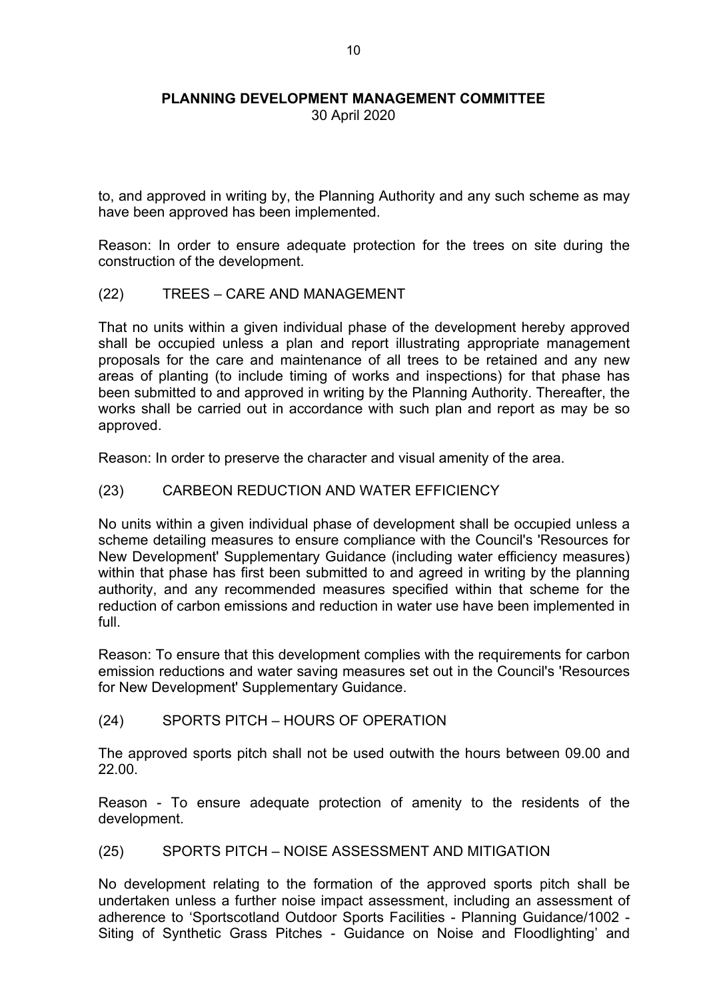30 April 2020

to, and approved in writing by, the Planning Authority and any such scheme as may have been approved has been implemented.

Reason: In order to ensure adequate protection for the trees on site during the construction of the development.

(22) TREES – CARE AND MANAGEMENT

That no units within a given individual phase of the development hereby approved shall be occupied unless a plan and report illustrating appropriate management proposals for the care and maintenance of all trees to be retained and any new areas of planting (to include timing of works and inspections) for that phase has been submitted to and approved in writing by the Planning Authority. Thereafter, the works shall be carried out in accordance with such plan and report as may be so approved.

Reason: In order to preserve the character and visual amenity of the area.

#### (23) CARBEON REDUCTION AND WATER EFFICIENCY

No units within a given individual phase of development shall be occupied unless a scheme detailing measures to ensure compliance with the Council's 'Resources for New Development' Supplementary Guidance (including water efficiency measures) within that phase has first been submitted to and agreed in writing by the planning authority, and any recommended measures specified within that scheme for the reduction of carbon emissions and reduction in water use have been implemented in full.

Reason: To ensure that this development complies with the requirements for carbon emission reductions and water saving measures set out in the Council's 'Resources for New Development' Supplementary Guidance.

(24) SPORTS PITCH – HOURS OF OPERATION

The approved sports pitch shall not be used outwith the hours between 09.00 and 22.00.

Reason - To ensure adequate protection of amenity to the residents of the development.

# (25) SPORTS PITCH – NOISE ASSESSMENT AND MITIGATION

No development relating to the formation of the approved sports pitch shall be undertaken unless a further noise impact assessment, including an assessment of adherence to 'Sportscotland Outdoor Sports Facilities - Planning Guidance/1002 - Siting of Synthetic Grass Pitches - Guidance on Noise and Floodlighting' and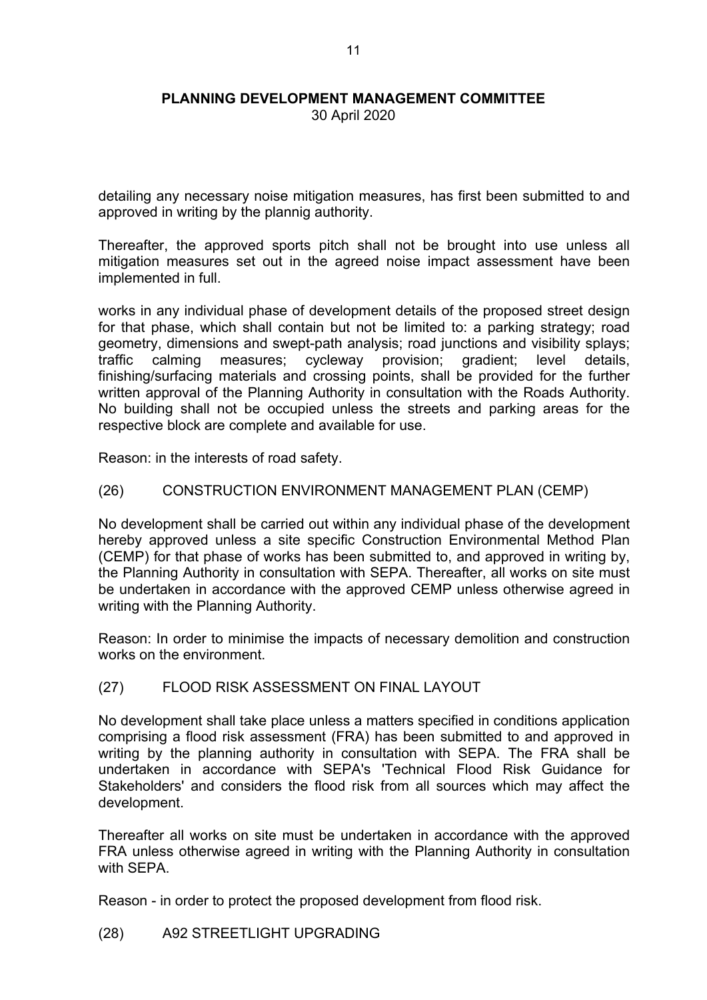30 April 2020

detailing any necessary noise mitigation measures, has first been submitted to and approved in writing by the plannig authority.

Thereafter, the approved sports pitch shall not be brought into use unless all mitigation measures set out in the agreed noise impact assessment have been implemented in full.

works in any individual phase of development details of the proposed street design for that phase, which shall contain but not be limited to: a parking strategy; road geometry, dimensions and swept-path analysis; road junctions and visibility splays; traffic calming measures; cycleway provision; gradient; level details, finishing/surfacing materials and crossing points, shall be provided for the further written approval of the Planning Authority in consultation with the Roads Authority. No building shall not be occupied unless the streets and parking areas for the respective block are complete and available for use.

Reason: in the interests of road safety.

# (26) CONSTRUCTION ENVIRONMENT MANAGEMENT PLAN (CEMP)

No development shall be carried out within any individual phase of the development hereby approved unless a site specific Construction Environmental Method Plan (CEMP) for that phase of works has been submitted to, and approved in writing by, the Planning Authority in consultation with SEPA. Thereafter, all works on site must be undertaken in accordance with the approved CEMP unless otherwise agreed in writing with the Planning Authority.

Reason: In order to minimise the impacts of necessary demolition and construction works on the environment.

# (27) FLOOD RISK ASSESSMENT ON FINAL LAYOUT

No development shall take place unless a matters specified in conditions application comprising a flood risk assessment (FRA) has been submitted to and approved in writing by the planning authority in consultation with SEPA. The FRA shall be undertaken in accordance with SEPA's 'Technical Flood Risk Guidance for Stakeholders' and considers the flood risk from all sources which may affect the development.

Thereafter all works on site must be undertaken in accordance with the approved FRA unless otherwise agreed in writing with the Planning Authority in consultation with **SEPA** 

Reason - in order to protect the proposed development from flood risk.

(28) A92 STREETLIGHT UPGRADING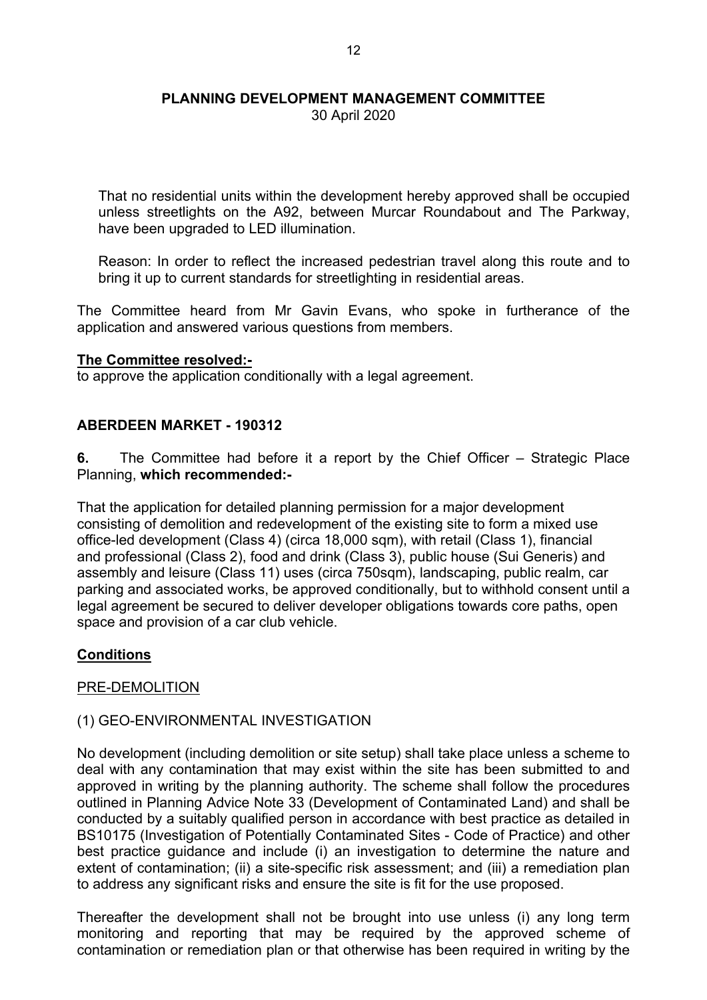30 April 2020

That no residential units within the development hereby approved shall be occupied unless streetlights on the A92, between Murcar Roundabout and The Parkway, have been upgraded to LED illumination.

Reason: In order to reflect the increased pedestrian travel along this route and to bring it up to current standards for streetlighting in residential areas.

The Committee heard from Mr Gavin Evans, who spoke in furtherance of the application and answered various questions from members.

#### **The Committee resolved:-**

to approve the application conditionally with a legal agreement.

# **ABERDEEN MARKET - 190312**

**6.** The Committee had before it a report by the Chief Officer – Strategic Place Planning, **which recommended:-**

That the application for detailed planning permission for a major development consisting of demolition and redevelopment of the existing site to form a mixed use office-led development (Class 4) (circa 18,000 sqm), with retail (Class 1), financial and professional (Class 2), food and drink (Class 3), public house (Sui Generis) and assembly and leisure (Class 11) uses (circa 750sqm), landscaping, public realm, car parking and associated works, be approved conditionally, but to withhold consent until a legal agreement be secured to deliver developer obligations towards core paths, open space and provision of a car club vehicle.

# **Conditions**

# PRE-DEMOLITION

# (1) GEO-ENVIRONMENTAL INVESTIGATION

No development (including demolition or site setup) shall take place unless a scheme to deal with any contamination that may exist within the site has been submitted to and approved in writing by the planning authority. The scheme shall follow the procedures outlined in Planning Advice Note 33 (Development of Contaminated Land) and shall be conducted by a suitably qualified person in accordance with best practice as detailed in BS10175 (Investigation of Potentially Contaminated Sites - Code of Practice) and other best practice guidance and include (i) an investigation to determine the nature and extent of contamination; (ii) a site-specific risk assessment; and (iii) a remediation plan to address any significant risks and ensure the site is fit for the use proposed.

Thereafter the development shall not be brought into use unless (i) any long term monitoring and reporting that may be required by the approved scheme of contamination or remediation plan or that otherwise has been required in writing by the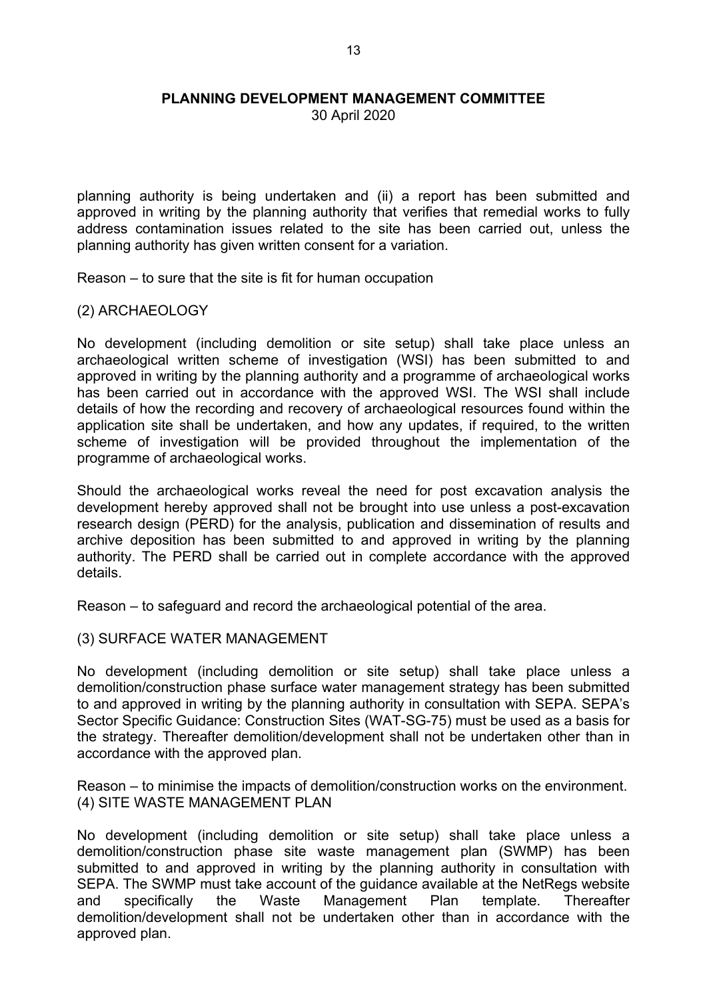30 April 2020

planning authority is being undertaken and (ii) a report has been submitted and approved in writing by the planning authority that verifies that remedial works to fully address contamination issues related to the site has been carried out, unless the planning authority has given written consent for a variation.

Reason – to sure that the site is fit for human occupation

(2) ARCHAEOLOGY

No development (including demolition or site setup) shall take place unless an archaeological written scheme of investigation (WSI) has been submitted to and approved in writing by the planning authority and a programme of archaeological works has been carried out in accordance with the approved WSI. The WSI shall include details of how the recording and recovery of archaeological resources found within the application site shall be undertaken, and how any updates, if required, to the written scheme of investigation will be provided throughout the implementation of the programme of archaeological works.

Should the archaeological works reveal the need for post excavation analysis the development hereby approved shall not be brought into use unless a post-excavation research design (PERD) for the analysis, publication and dissemination of results and archive deposition has been submitted to and approved in writing by the planning authority. The PERD shall be carried out in complete accordance with the approved details.

Reason – to safeguard and record the archaeological potential of the area.

#### (3) SURFACE WATER MANAGEMENT

No development (including demolition or site setup) shall take place unless a demolition/construction phase surface water management strategy has been submitted to and approved in writing by the planning authority in consultation with SEPA. SEPA's Sector Specific Guidance: Construction Sites (WAT-SG-75) must be used as a basis for the strategy. Thereafter demolition/development shall not be undertaken other than in accordance with the approved plan.

Reason – to minimise the impacts of demolition/construction works on the environment. (4) SITE WASTE MANAGEMENT PLAN

No development (including demolition or site setup) shall take place unless a demolition/construction phase site waste management plan (SWMP) has been submitted to and approved in writing by the planning authority in consultation with SEPA. The SWMP must take account of the guidance available at the NetRegs website and specifically the Waste Management Plan template. Thereafter demolition/development shall not be undertaken other than in accordance with the approved plan.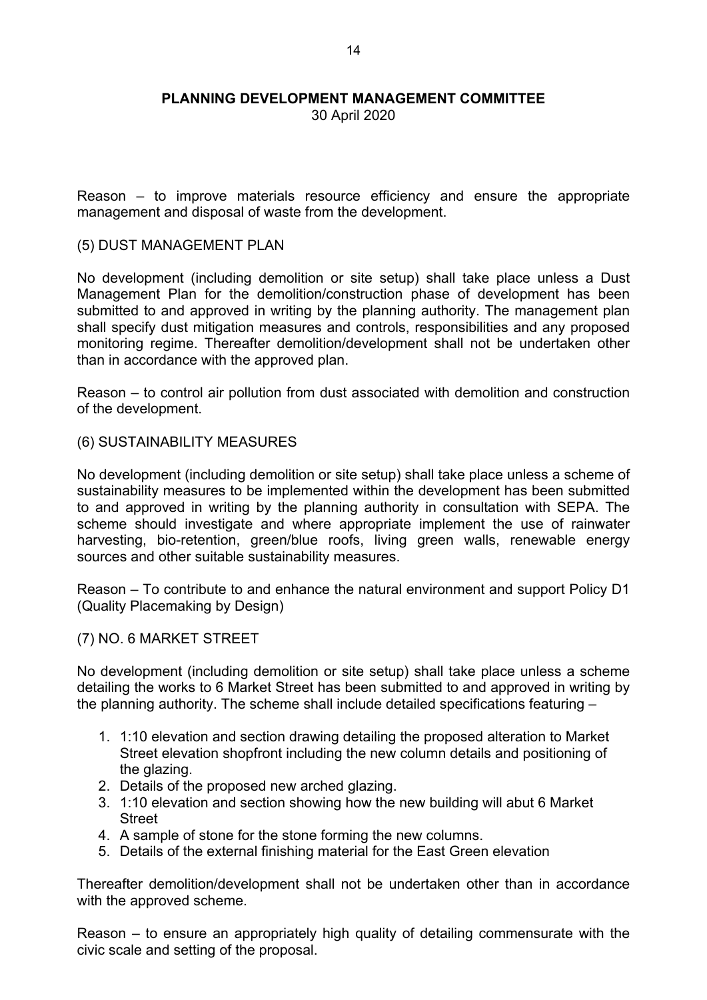30 April 2020

Reason – to improve materials resource efficiency and ensure the appropriate management and disposal of waste from the development.

#### (5) DUST MANAGEMENT PLAN

No development (including demolition or site setup) shall take place unless a Dust Management Plan for the demolition/construction phase of development has been submitted to and approved in writing by the planning authority. The management plan shall specify dust mitigation measures and controls, responsibilities and any proposed monitoring regime. Thereafter demolition/development shall not be undertaken other than in accordance with the approved plan.

Reason – to control air pollution from dust associated with demolition and construction of the development.

#### (6) SUSTAINABILITY MEASURES

No development (including demolition or site setup) shall take place unless a scheme of sustainability measures to be implemented within the development has been submitted to and approved in writing by the planning authority in consultation with SEPA. The scheme should investigate and where appropriate implement the use of rainwater harvesting, bio-retention, green/blue roofs, living green walls, renewable energy sources and other suitable sustainability measures.

Reason – To contribute to and enhance the natural environment and support Policy D1 (Quality Placemaking by Design)

# (7) NO. 6 MARKET STREET

No development (including demolition or site setup) shall take place unless a scheme detailing the works to 6 Market Street has been submitted to and approved in writing by the planning authority. The scheme shall include detailed specifications featuring –

- 1. 1:10 elevation and section drawing detailing the proposed alteration to Market Street elevation shopfront including the new column details and positioning of the glazing.
- 2. Details of the proposed new arched glazing.
- 3. 1:10 elevation and section showing how the new building will abut 6 Market **Street**
- 4. A sample of stone for the stone forming the new columns.
- 5. Details of the external finishing material for the East Green elevation

Thereafter demolition/development shall not be undertaken other than in accordance with the approved scheme.

Reason – to ensure an appropriately high quality of detailing commensurate with the civic scale and setting of the proposal.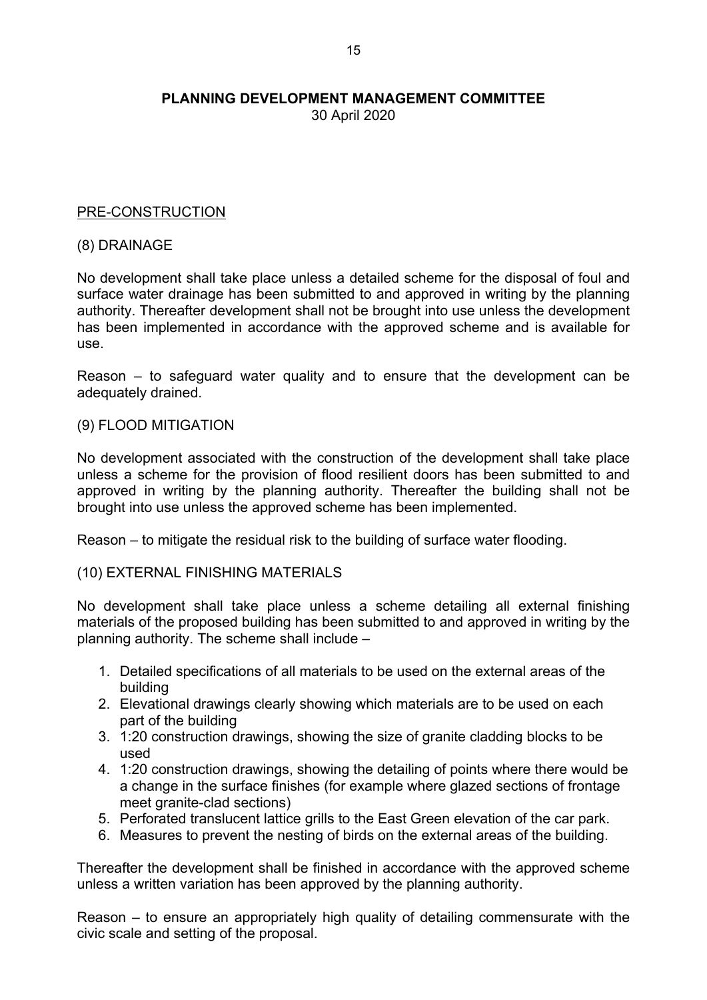30 April 2020

# PRE-CONSTRUCTION

#### (8) DRAINAGE

No development shall take place unless a detailed scheme for the disposal of foul and surface water drainage has been submitted to and approved in writing by the planning authority. Thereafter development shall not be brought into use unless the development has been implemented in accordance with the approved scheme and is available for use.

Reason – to safeguard water quality and to ensure that the development can be adequately drained.

#### (9) FLOOD MITIGATION

No development associated with the construction of the development shall take place unless a scheme for the provision of flood resilient doors has been submitted to and approved in writing by the planning authority. Thereafter the building shall not be brought into use unless the approved scheme has been implemented.

Reason – to mitigate the residual risk to the building of surface water flooding.

#### (10) EXTERNAL FINISHING MATERIALS

No development shall take place unless a scheme detailing all external finishing materials of the proposed building has been submitted to and approved in writing by the planning authority. The scheme shall include –

- 1. Detailed specifications of all materials to be used on the external areas of the building
- 2. Elevational drawings clearly showing which materials are to be used on each part of the building
- 3. 1:20 construction drawings, showing the size of granite cladding blocks to be used
- 4. 1:20 construction drawings, showing the detailing of points where there would be a change in the surface finishes (for example where glazed sections of frontage meet granite-clad sections)
- 5. Perforated translucent lattice grills to the East Green elevation of the car park.
- 6. Measures to prevent the nesting of birds on the external areas of the building.

Thereafter the development shall be finished in accordance with the approved scheme unless a written variation has been approved by the planning authority.

Reason – to ensure an appropriately high quality of detailing commensurate with the civic scale and setting of the proposal.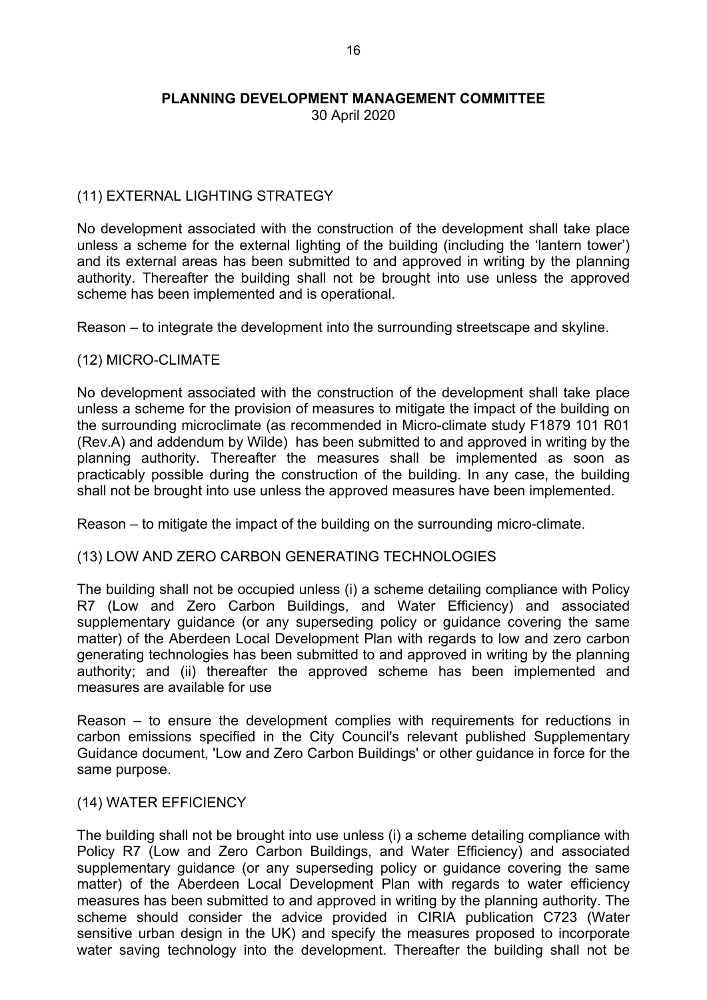30 April 2020

# (11) EXTERNAL LIGHTING STRATEGY

No development associated with the construction of the development shall take place unless a scheme for the external lighting of the building (including the 'lantern tower') and its external areas has been submitted to and approved in writing by the planning authority. Thereafter the building shall not be brought into use unless the approved scheme has been implemented and is operational.

Reason – to integrate the development into the surrounding streetscape and skyline.

# (12) MICRO-CLIMATE

No development associated with the construction of the development shall take place unless a scheme for the provision of measures to mitigate the impact of the building on the surrounding microclimate (as recommended in Micro-climate study F1879 101 R01 (Rev.A) and addendum by Wilde) has been submitted to and approved in writing by the planning authority. Thereafter the measures shall be implemented as soon as practicably possible during the construction of the building. In any case, the building shall not be brought into use unless the approved measures have been implemented.

Reason – to mitigate the impact of the building on the surrounding micro-climate.

# (13) LOW AND ZERO CARBON GENERATING TECHNOLOGIES

The building shall not be occupied unless (i) a scheme detailing compliance with Policy R7 (Low and Zero Carbon Buildings, and Water Efficiency) and associated supplementary guidance (or any superseding policy or guidance covering the same matter) of the Aberdeen Local Development Plan with regards to low and zero carbon generating technologies has been submitted to and approved in writing by the planning authority; and (ii) thereafter the approved scheme has been implemented and measures are available for use

Reason – to ensure the development complies with requirements for reductions in carbon emissions specified in the City Council's relevant published Supplementary Guidance document, 'Low and Zero Carbon Buildings' or other guidance in force for the same purpose.

#### (14) WATER EFFICIENCY

The building shall not be brought into use unless (i) a scheme detailing compliance with Policy R7 (Low and Zero Carbon Buildings, and Water Efficiency) and associated supplementary guidance (or any superseding policy or guidance covering the same matter) of the Aberdeen Local Development Plan with regards to water efficiency measures has been submitted to and approved in writing by the planning authority. The scheme should consider the advice provided in CIRIA publication C723 (Water sensitive urban design in the UK) and specify the measures proposed to incorporate water saving technology into the development. Thereafter the building shall not be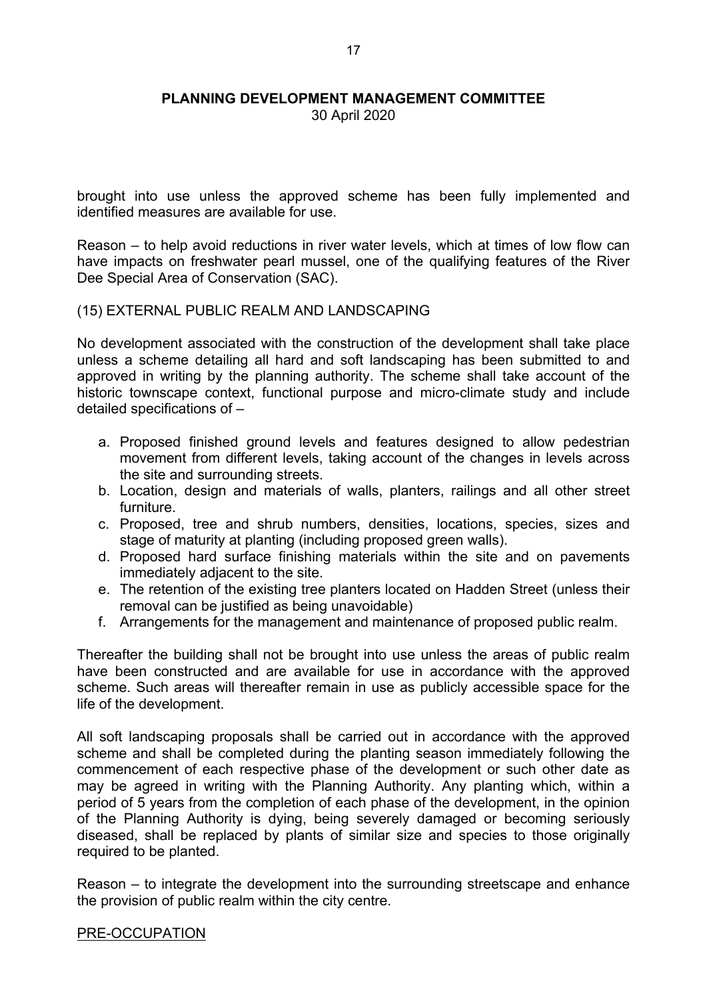30 April 2020

brought into use unless the approved scheme has been fully implemented and identified measures are available for use.

Reason – to help avoid reductions in river water levels, which at times of low flow can have impacts on freshwater pearl mussel, one of the qualifying features of the River Dee Special Area of Conservation (SAC).

#### (15) EXTERNAL PUBLIC REALM AND LANDSCAPING

No development associated with the construction of the development shall take place unless a scheme detailing all hard and soft landscaping has been submitted to and approved in writing by the planning authority. The scheme shall take account of the historic townscape context, functional purpose and micro-climate study and include detailed specifications of –

- a. Proposed finished ground levels and features designed to allow pedestrian movement from different levels, taking account of the changes in levels across the site and surrounding streets.
- b. Location, design and materials of walls, planters, railings and all other street furniture.
- c. Proposed, tree and shrub numbers, densities, locations, species, sizes and stage of maturity at planting (including proposed green walls).
- d. Proposed hard surface finishing materials within the site and on pavements immediately adjacent to the site.
- e. The retention of the existing tree planters located on Hadden Street (unless their removal can be justified as being unavoidable)
- f. Arrangements for the management and maintenance of proposed public realm.

Thereafter the building shall not be brought into use unless the areas of public realm have been constructed and are available for use in accordance with the approved scheme. Such areas will thereafter remain in use as publicly accessible space for the life of the development.

All soft landscaping proposals shall be carried out in accordance with the approved scheme and shall be completed during the planting season immediately following the commencement of each respective phase of the development or such other date as may be agreed in writing with the Planning Authority. Any planting which, within a period of 5 years from the completion of each phase of the development, in the opinion of the Planning Authority is dying, being severely damaged or becoming seriously diseased, shall be replaced by plants of similar size and species to those originally required to be planted.

Reason – to integrate the development into the surrounding streetscape and enhance the provision of public realm within the city centre.

#### PRE-OCCUPATION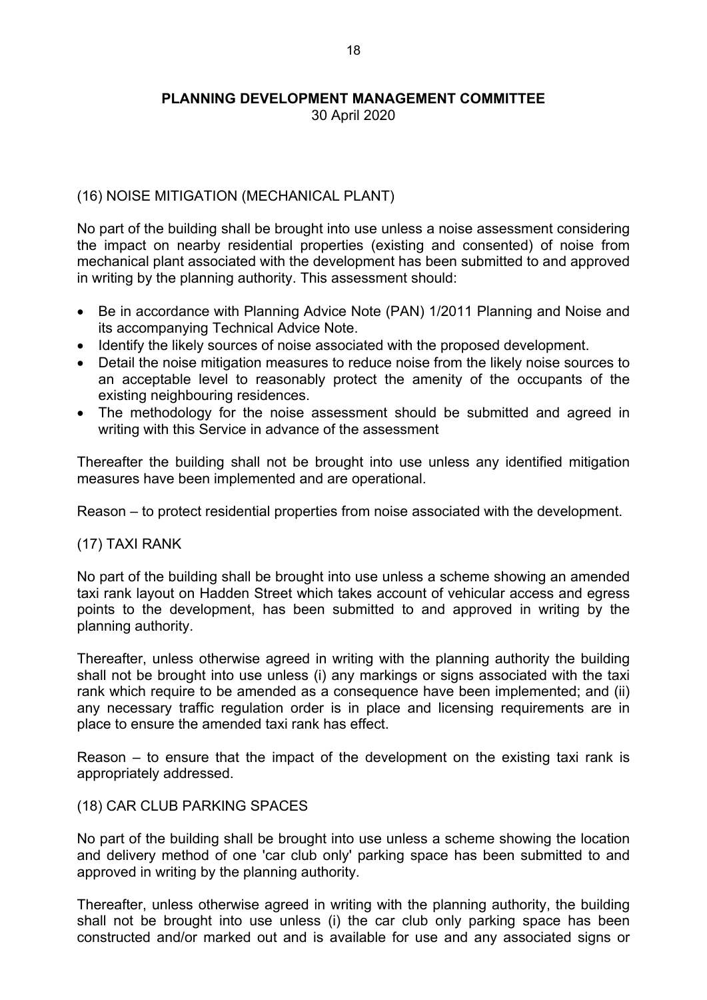30 April 2020

# (16) NOISE MITIGATION (MECHANICAL PLANT)

No part of the building shall be brought into use unless a noise assessment considering the impact on nearby residential properties (existing and consented) of noise from mechanical plant associated with the development has been submitted to and approved in writing by the planning authority. This assessment should:

- Be in accordance with Planning Advice Note (PAN) 1/2011 Planning and Noise and its accompanying Technical Advice Note.
- Identify the likely sources of noise associated with the proposed development.
- Detail the noise mitigation measures to reduce noise from the likely noise sources to an acceptable level to reasonably protect the amenity of the occupants of the existing neighbouring residences.
- The methodology for the noise assessment should be submitted and agreed in writing with this Service in advance of the assessment

Thereafter the building shall not be brought into use unless any identified mitigation measures have been implemented and are operational.

Reason – to protect residential properties from noise associated with the development.

# (17) TAXI RANK

No part of the building shall be brought into use unless a scheme showing an amended taxi rank layout on Hadden Street which takes account of vehicular access and egress points to the development, has been submitted to and approved in writing by the planning authority.

Thereafter, unless otherwise agreed in writing with the planning authority the building shall not be brought into use unless (i) any markings or signs associated with the taxi rank which require to be amended as a consequence have been implemented; and (ii) any necessary traffic regulation order is in place and licensing requirements are in place to ensure the amended taxi rank has effect.

Reason – to ensure that the impact of the development on the existing taxi rank is appropriately addressed.

# (18) CAR CLUB PARKING SPACES

No part of the building shall be brought into use unless a scheme showing the location and delivery method of one 'car club only' parking space has been submitted to and approved in writing by the planning authority.

Thereafter, unless otherwise agreed in writing with the planning authority, the building shall not be brought into use unless (i) the car club only parking space has been constructed and/or marked out and is available for use and any associated signs or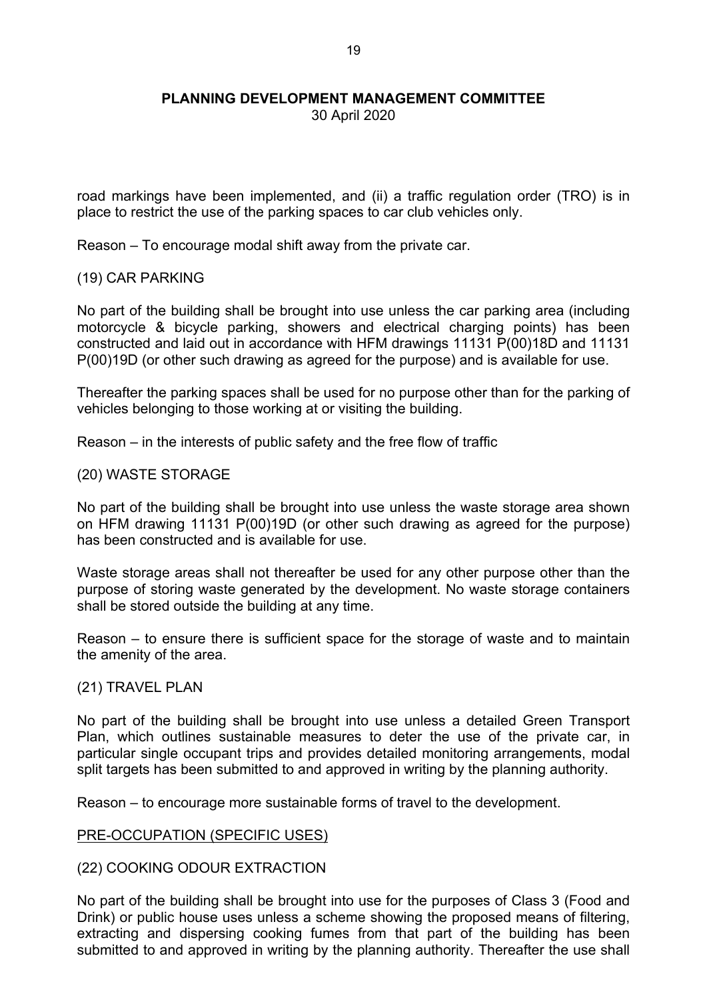30 April 2020

road markings have been implemented, and (ii) a traffic regulation order (TRO) is in place to restrict the use of the parking spaces to car club vehicles only.

Reason – To encourage modal shift away from the private car.

#### (19) CAR PARKING

No part of the building shall be brought into use unless the car parking area (including motorcycle & bicycle parking, showers and electrical charging points) has been constructed and laid out in accordance with HFM drawings 11131 P(00)18D and 11131 P(00)19D (or other such drawing as agreed for the purpose) and is available for use.

Thereafter the parking spaces shall be used for no purpose other than for the parking of vehicles belonging to those working at or visiting the building.

Reason – in the interests of public safety and the free flow of traffic

#### (20) WASTE STORAGE

No part of the building shall be brought into use unless the waste storage area shown on HFM drawing 11131 P(00)19D (or other such drawing as agreed for the purpose) has been constructed and is available for use.

Waste storage areas shall not thereafter be used for any other purpose other than the purpose of storing waste generated by the development. No waste storage containers shall be stored outside the building at any time.

Reason – to ensure there is sufficient space for the storage of waste and to maintain the amenity of the area.

#### (21) TRAVEL PLAN

No part of the building shall be brought into use unless a detailed Green Transport Plan, which outlines sustainable measures to deter the use of the private car, in particular single occupant trips and provides detailed monitoring arrangements, modal split targets has been submitted to and approved in writing by the planning authority.

Reason – to encourage more sustainable forms of travel to the development.

# PRE-OCCUPATION (SPECIFIC USES)

# (22) COOKING ODOUR EXTRACTION

No part of the building shall be brought into use for the purposes of Class 3 (Food and Drink) or public house uses unless a scheme showing the proposed means of filtering, extracting and dispersing cooking fumes from that part of the building has been submitted to and approved in writing by the planning authority. Thereafter the use shall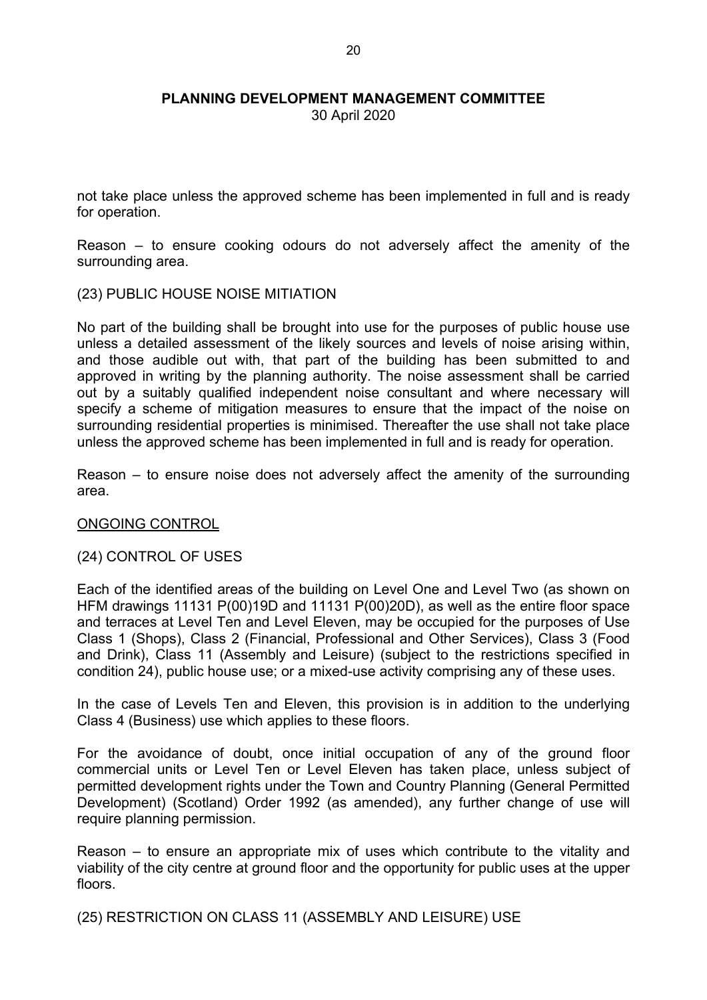30 April 2020

not take place unless the approved scheme has been implemented in full and is ready for operation.

Reason – to ensure cooking odours do not adversely affect the amenity of the surrounding area.

#### (23) PUBLIC HOUSE NOISE MITIATION

No part of the building shall be brought into use for the purposes of public house use unless a detailed assessment of the likely sources and levels of noise arising within, and those audible out with, that part of the building has been submitted to and approved in writing by the planning authority. The noise assessment shall be carried out by a suitably qualified independent noise consultant and where necessary will specify a scheme of mitigation measures to ensure that the impact of the noise on surrounding residential properties is minimised. Thereafter the use shall not take place unless the approved scheme has been implemented in full and is ready for operation.

Reason – to ensure noise does not adversely affect the amenity of the surrounding area.

#### ONGOING CONTROL

#### (24) CONTROL OF USES

Each of the identified areas of the building on Level One and Level Two (as shown on HFM drawings 11131 P(00)19D and 11131 P(00)20D), as well as the entire floor space and terraces at Level Ten and Level Eleven, may be occupied for the purposes of Use Class 1 (Shops), Class 2 (Financial, Professional and Other Services), Class 3 (Food and Drink), Class 11 (Assembly and Leisure) (subject to the restrictions specified in condition 24), public house use; or a mixed-use activity comprising any of these uses.

In the case of Levels Ten and Eleven, this provision is in addition to the underlying Class 4 (Business) use which applies to these floors.

For the avoidance of doubt, once initial occupation of any of the ground floor commercial units or Level Ten or Level Eleven has taken place, unless subject of permitted development rights under the Town and Country Planning (General Permitted Development) (Scotland) Order 1992 (as amended), any further change of use will require planning permission.

Reason – to ensure an appropriate mix of uses which contribute to the vitality and viability of the city centre at ground floor and the opportunity for public uses at the upper floors.

(25) RESTRICTION ON CLASS 11 (ASSEMBLY AND LEISURE) USE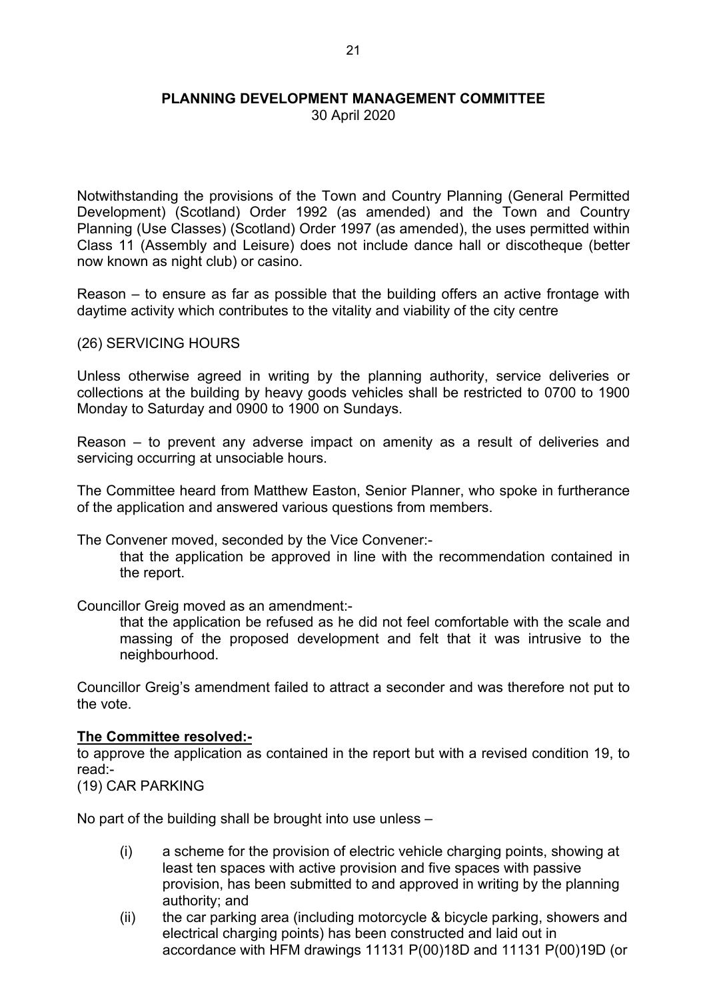30 April 2020

Notwithstanding the provisions of the Town and Country Planning (General Permitted Development) (Scotland) Order 1992 (as amended) and the Town and Country Planning (Use Classes) (Scotland) Order 1997 (as amended), the uses permitted within Class 11 (Assembly and Leisure) does not include dance hall or discotheque (better now known as night club) or casino.

Reason – to ensure as far as possible that the building offers an active frontage with daytime activity which contributes to the vitality and viability of the city centre

(26) SERVICING HOURS

Unless otherwise agreed in writing by the planning authority, service deliveries or collections at the building by heavy goods vehicles shall be restricted to 0700 to 1900 Monday to Saturday and 0900 to 1900 on Sundays.

Reason – to prevent any adverse impact on amenity as a result of deliveries and servicing occurring at unsociable hours.

The Committee heard from Matthew Easton, Senior Planner, who spoke in furtherance of the application and answered various questions from members.

The Convener moved, seconded by the Vice Convener:-

that the application be approved in line with the recommendation contained in the report.

Councillor Greig moved as an amendment:-

that the application be refused as he did not feel comfortable with the scale and massing of the proposed development and felt that it was intrusive to the neighbourhood.

Councillor Greig's amendment failed to attract a seconder and was therefore not put to the vote.

#### **The Committee resolved:-**

to approve the application as contained in the report but with a revised condition 19, to read:-

(19) CAR PARKING

No part of the building shall be brought into use unless –

- (i) a scheme for the provision of electric vehicle charging points, showing at least ten spaces with active provision and five spaces with passive provision, has been submitted to and approved in writing by the planning authority; and
- (ii) the car parking area (including motorcycle & bicycle parking, showers and electrical charging points) has been constructed and laid out in accordance with HFM drawings 11131 P(00)18D and 11131 P(00)19D (or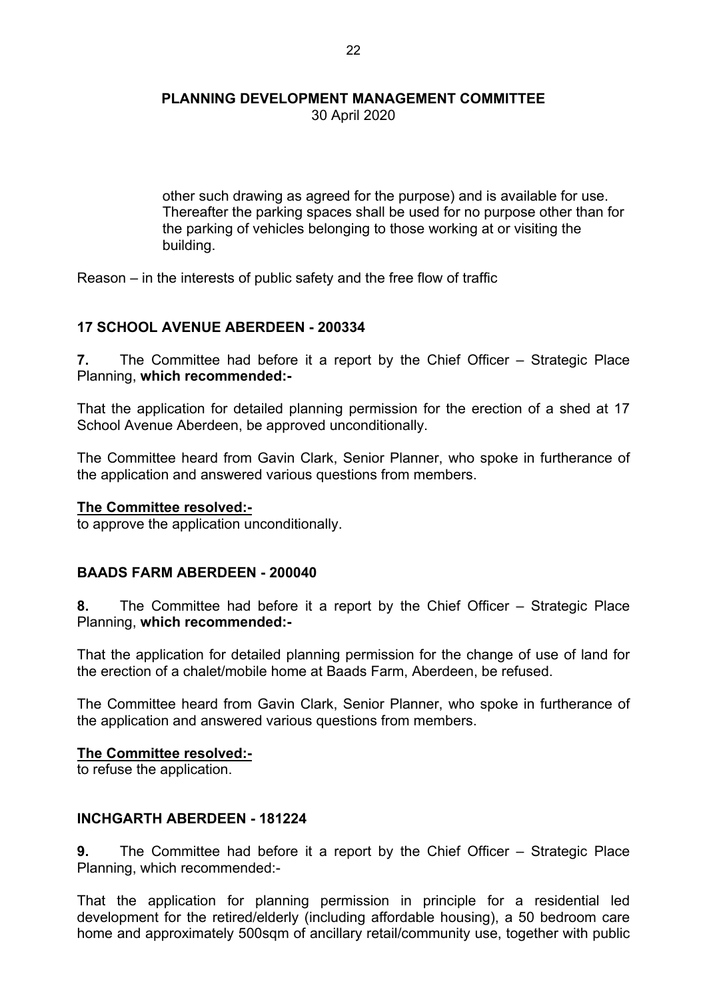30 April 2020

other such drawing as agreed for the purpose) and is available for use. Thereafter the parking spaces shall be used for no purpose other than for the parking of vehicles belonging to those working at or visiting the building.

Reason – in the interests of public safety and the free flow of traffic

# **17 SCHOOL AVENUE ABERDEEN - 200334**

**7.** The Committee had before it a report by the Chief Officer – Strategic Place Planning, **which recommended:-**

That the application for detailed planning permission for the erection of a shed at 17 School Avenue Aberdeen, be approved unconditionally.

The Committee heard from Gavin Clark, Senior Planner, who spoke in furtherance of the application and answered various questions from members.

#### **The Committee resolved:-**

to approve the application unconditionally.

# **BAADS FARM ABERDEEN - 200040**

**8.** The Committee had before it a report by the Chief Officer – Strategic Place Planning, **which recommended:-**

That the application for detailed planning permission for the change of use of land for the erection of a chalet/mobile home at Baads Farm, Aberdeen, be refused.

The Committee heard from Gavin Clark, Senior Planner, who spoke in furtherance of the application and answered various questions from members.

#### **The Committee resolved:-**

to refuse the application.

# **INCHGARTH ABERDEEN - 181224**

**9.** The Committee had before it a report by the Chief Officer – Strategic Place Planning, which recommended:-

That the application for planning permission in principle for a residential led development for the retired/elderly (including affordable housing), a 50 bedroom care home and approximately 500sqm of ancillary retail/community use, together with public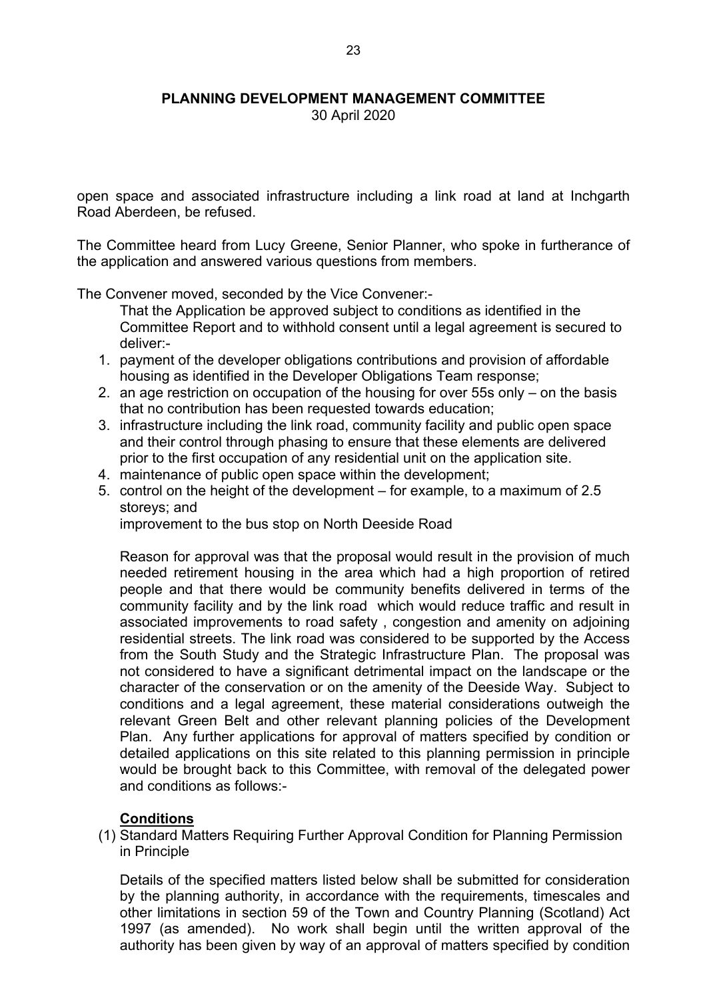30 April 2020

open space and associated infrastructure including a link road at land at Inchgarth Road Aberdeen, be refused.

The Committee heard from Lucy Greene, Senior Planner, who spoke in furtherance of the application and answered various questions from members.

The Convener moved, seconded by the Vice Convener:-

That the Application be approved subject to conditions as identified in the Committee Report and to withhold consent until a legal agreement is secured to deliver:-

- 1. payment of the developer obligations contributions and provision of affordable housing as identified in the Developer Obligations Team response;
- 2. an age restriction on occupation of the housing for over 55s only on the basis that no contribution has been requested towards education;
- 3. infrastructure including the link road, community facility and public open space and their control through phasing to ensure that these elements are delivered prior to the first occupation of any residential unit on the application site.
- 4. maintenance of public open space within the development;
- 5. control on the height of the development for example, to a maximum of 2.5 storeys; and

improvement to the bus stop on North Deeside Road

Reason for approval was that the proposal would result in the provision of much needed retirement housing in the area which had a high proportion of retired people and that there would be community benefits delivered in terms of the community facility and by the link road which would reduce traffic and result in associated improvements to road safety , congestion and amenity on adjoining residential streets. The link road was considered to be supported by the Access from the South Study and the Strategic Infrastructure Plan. The proposal was not considered to have a significant detrimental impact on the landscape or the character of the conservation or on the amenity of the Deeside Way. Subject to conditions and a legal agreement, these material considerations outweigh the relevant Green Belt and other relevant planning policies of the Development Plan. Any further applications for approval of matters specified by condition or detailed applications on this site related to this planning permission in principle would be brought back to this Committee, with removal of the delegated power and conditions as follows:-

# **Conditions**

(1) Standard Matters Requiring Further Approval Condition for Planning Permission in Principle

Details of the specified matters listed below shall be submitted for consideration by the planning authority, in accordance with the requirements, timescales and other limitations in section 59 of the Town and Country Planning (Scotland) Act 1997 (as amended). No work shall begin until the written approval of the authority has been given by way of an approval of matters specified by condition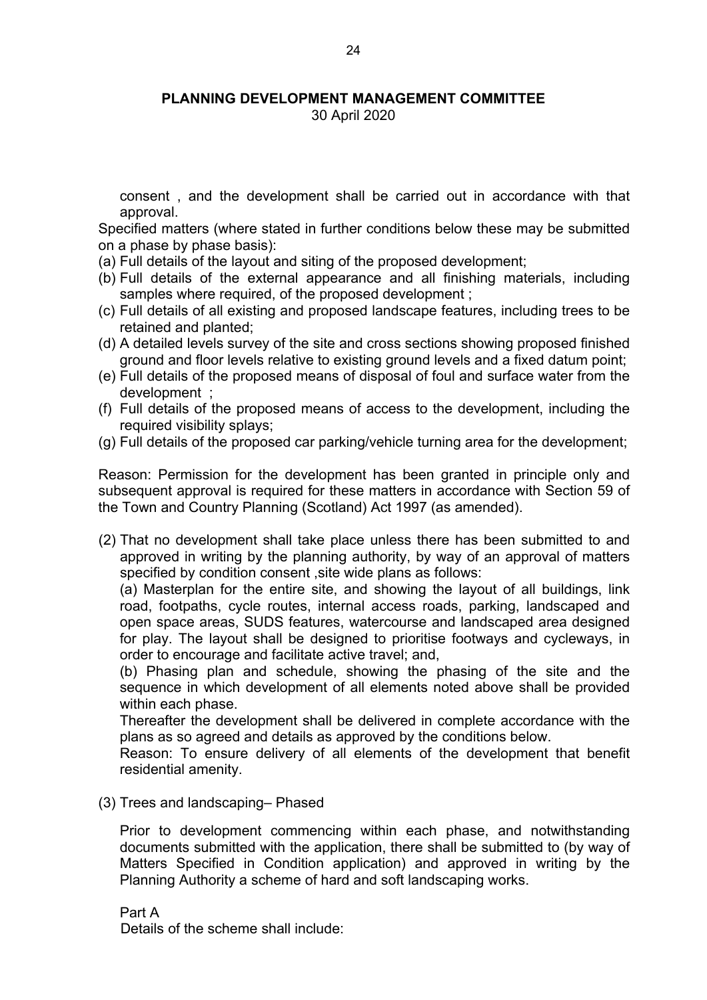30 April 2020

consent , and the development shall be carried out in accordance with that approval.

Specified matters (where stated in further conditions below these may be submitted on a phase by phase basis):

- (a) Full details of the layout and siting of the proposed development;
- (b) Full details of the external appearance and all finishing materials, including samples where required, of the proposed development ;
- (c) Full details of all existing and proposed landscape features, including trees to be retained and planted;
- (d) A detailed levels survey of the site and cross sections showing proposed finished ground and floor levels relative to existing ground levels and a fixed datum point;
- (e) Full details of the proposed means of disposal of foul and surface water from the development ;
- (f) Full details of the proposed means of access to the development, including the required visibility splays;
- (g) Full details of the proposed car parking/vehicle turning area for the development;

Reason: Permission for the development has been granted in principle only and subsequent approval is required for these matters in accordance with Section 59 of the Town and Country Planning (Scotland) Act 1997 (as amended).

(2) That no development shall take place unless there has been submitted to and approved in writing by the planning authority, by way of an approval of matters specified by condition consent ,site wide plans as follows:

(a) Masterplan for the entire site, and showing the layout of all buildings, link road, footpaths, cycle routes, internal access roads, parking, landscaped and open space areas, SUDS features, watercourse and landscaped area designed for play. The layout shall be designed to prioritise footways and cycleways, in order to encourage and facilitate active travel; and,

(b) Phasing plan and schedule, showing the phasing of the site and the sequence in which development of all elements noted above shall be provided within each phase.

Thereafter the development shall be delivered in complete accordance with the plans as so agreed and details as approved by the conditions below.

Reason: To ensure delivery of all elements of the development that benefit residential amenity.

(3) Trees and landscaping– Phased

Prior to development commencing within each phase, and notwithstanding documents submitted with the application, there shall be submitted to (by way of Matters Specified in Condition application) and approved in writing by the Planning Authority a scheme of hard and soft landscaping works.

Part A Details of the scheme shall include: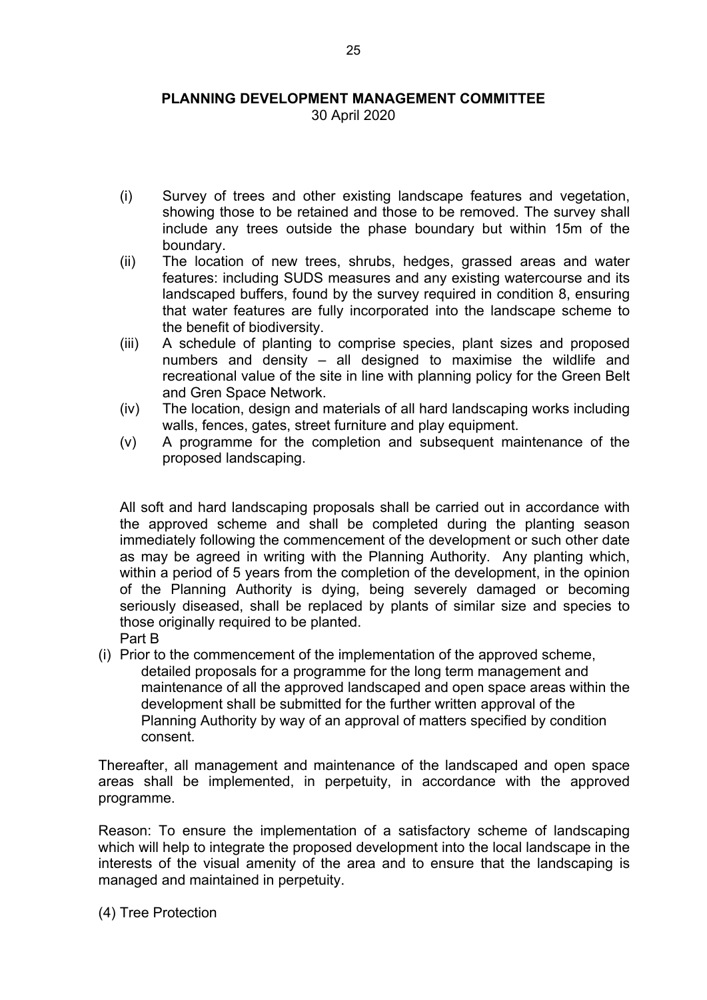30 April 2020

- (i) Survey of trees and other existing landscape features and vegetation, showing those to be retained and those to be removed. The survey shall include any trees outside the phase boundary but within 15m of the boundary.
- (ii) The location of new trees, shrubs, hedges, grassed areas and water features: including SUDS measures and any existing watercourse and its landscaped buffers, found by the survey required in condition 8, ensuring that water features are fully incorporated into the landscape scheme to the benefit of biodiversity.
- (iii) A schedule of planting to comprise species, plant sizes and proposed numbers and density – all designed to maximise the wildlife and recreational value of the site in line with planning policy for the Green Belt and Gren Space Network.
- (iv) The location, design and materials of all hard landscaping works including walls, fences, gates, street furniture and play equipment.
- (v) A programme for the completion and subsequent maintenance of the proposed landscaping.

All soft and hard landscaping proposals shall be carried out in accordance with the approved scheme and shall be completed during the planting season immediately following the commencement of the development or such other date as may be agreed in writing with the Planning Authority. Any planting which, within a period of 5 years from the completion of the development, in the opinion of the Planning Authority is dying, being severely damaged or becoming seriously diseased, shall be replaced by plants of similar size and species to those originally required to be planted. Part B

(i) Prior to the commencement of the implementation of the approved scheme, detailed proposals for a programme for the long term management and maintenance of all the approved landscaped and open space areas within the development shall be submitted for the further written approval of the Planning Authority by way of an approval of matters specified by condition consent.

Thereafter, all management and maintenance of the landscaped and open space areas shall be implemented, in perpetuity, in accordance with the approved programme.

Reason: To ensure the implementation of a satisfactory scheme of landscaping which will help to integrate the proposed development into the local landscape in the interests of the visual amenity of the area and to ensure that the landscaping is managed and maintained in perpetuity.

(4) Tree Protection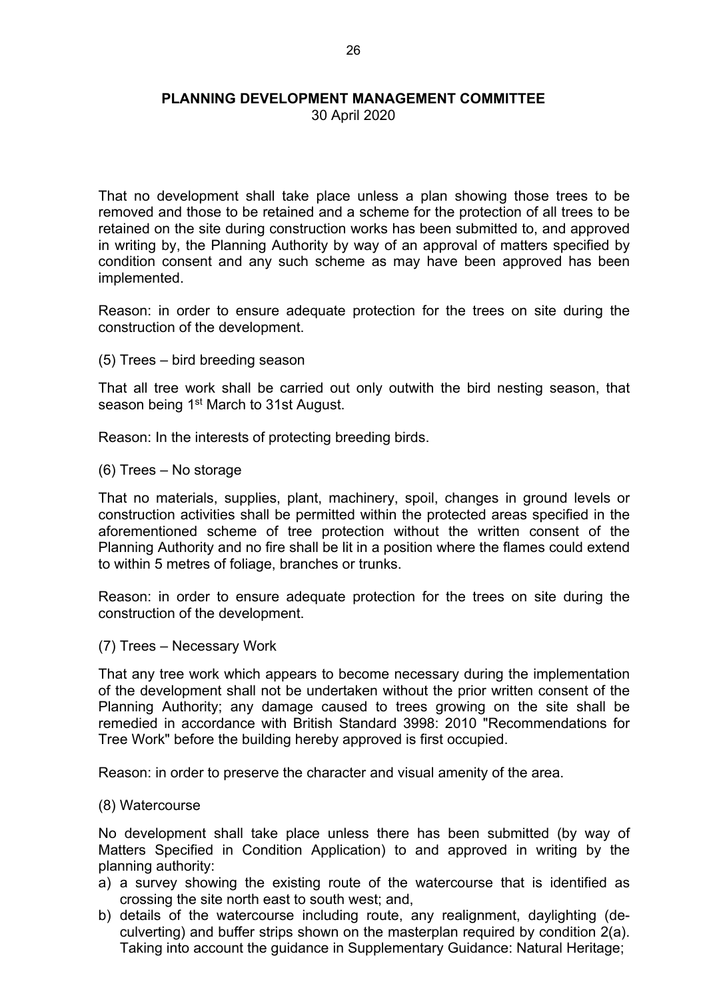30 April 2020

That no development shall take place unless a plan showing those trees to be removed and those to be retained and a scheme for the protection of all trees to be retained on the site during construction works has been submitted to, and approved in writing by, the Planning Authority by way of an approval of matters specified by condition consent and any such scheme as may have been approved has been implemented.

Reason: in order to ensure adequate protection for the trees on site during the construction of the development.

(5) Trees – bird breeding season

That all tree work shall be carried out only outwith the bird nesting season, that season being 1<sup>st</sup> March to 31st August.

Reason: In the interests of protecting breeding birds.

(6) Trees – No storage

That no materials, supplies, plant, machinery, spoil, changes in ground levels or construction activities shall be permitted within the protected areas specified in the aforementioned scheme of tree protection without the written consent of the Planning Authority and no fire shall be lit in a position where the flames could extend to within 5 metres of foliage, branches or trunks.

Reason: in order to ensure adequate protection for the trees on site during the construction of the development.

(7) Trees – Necessary Work

That any tree work which appears to become necessary during the implementation of the development shall not be undertaken without the prior written consent of the Planning Authority; any damage caused to trees growing on the site shall be remedied in accordance with British Standard 3998: 2010 "Recommendations for Tree Work" before the building hereby approved is first occupied.

Reason: in order to preserve the character and visual amenity of the area.

#### (8) Watercourse

No development shall take place unless there has been submitted (by way of Matters Specified in Condition Application) to and approved in writing by the planning authority:

- a) a survey showing the existing route of the watercourse that is identified as crossing the site north east to south west; and,
- b) details of the watercourse including route, any realignment, daylighting (deculverting) and buffer strips shown on the masterplan required by condition 2(a). Taking into account the guidance in Supplementary Guidance: Natural Heritage;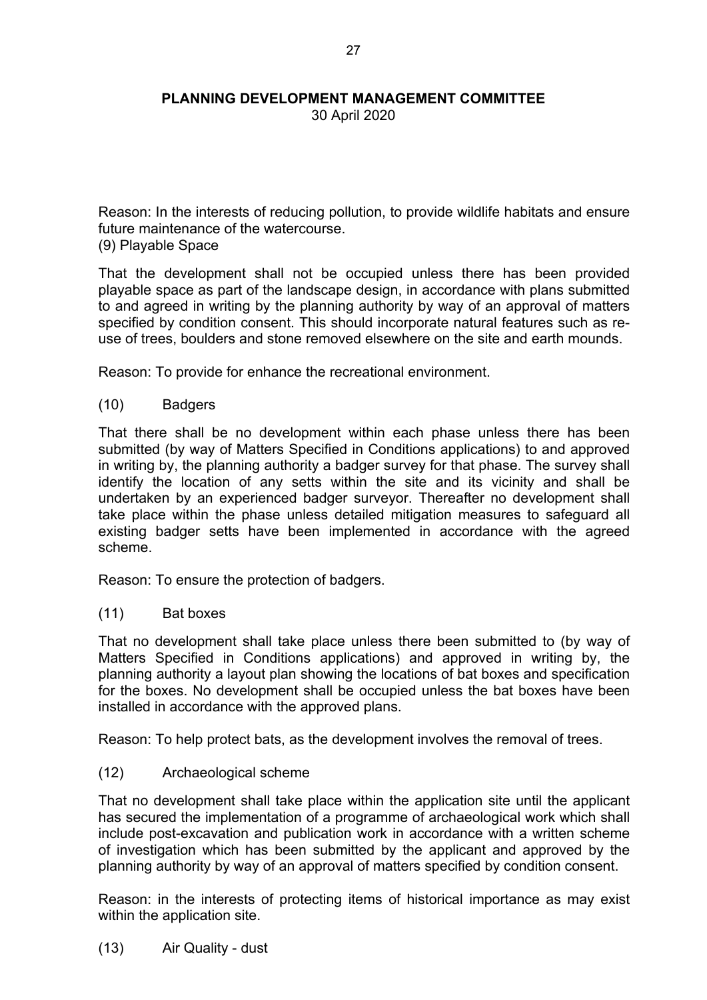30 April 2020

Reason: In the interests of reducing pollution, to provide wildlife habitats and ensure future maintenance of the watercourse.

(9) Playable Space

That the development shall not be occupied unless there has been provided playable space as part of the landscape design, in accordance with plans submitted to and agreed in writing by the planning authority by way of an approval of matters specified by condition consent. This should incorporate natural features such as reuse of trees, boulders and stone removed elsewhere on the site and earth mounds.

Reason: To provide for enhance the recreational environment.

(10) Badgers

That there shall be no development within each phase unless there has been submitted (by way of Matters Specified in Conditions applications) to and approved in writing by, the planning authority a badger survey for that phase. The survey shall identify the location of any setts within the site and its vicinity and shall be undertaken by an experienced badger surveyor. Thereafter no development shall take place within the phase unless detailed mitigation measures to safeguard all existing badger setts have been implemented in accordance with the agreed scheme.

Reason: To ensure the protection of badgers.

(11) Bat boxes

That no development shall take place unless there been submitted to (by way of Matters Specified in Conditions applications) and approved in writing by, the planning authority a layout plan showing the locations of bat boxes and specification for the boxes. No development shall be occupied unless the bat boxes have been installed in accordance with the approved plans.

Reason: To help protect bats, as the development involves the removal of trees.

# (12) Archaeological scheme

That no development shall take place within the application site until the applicant has secured the implementation of a programme of archaeological work which shall include post-excavation and publication work in accordance with a written scheme of investigation which has been submitted by the applicant and approved by the planning authority by way of an approval of matters specified by condition consent.

Reason: in the interests of protecting items of historical importance as may exist within the application site.

(13) Air Quality - dust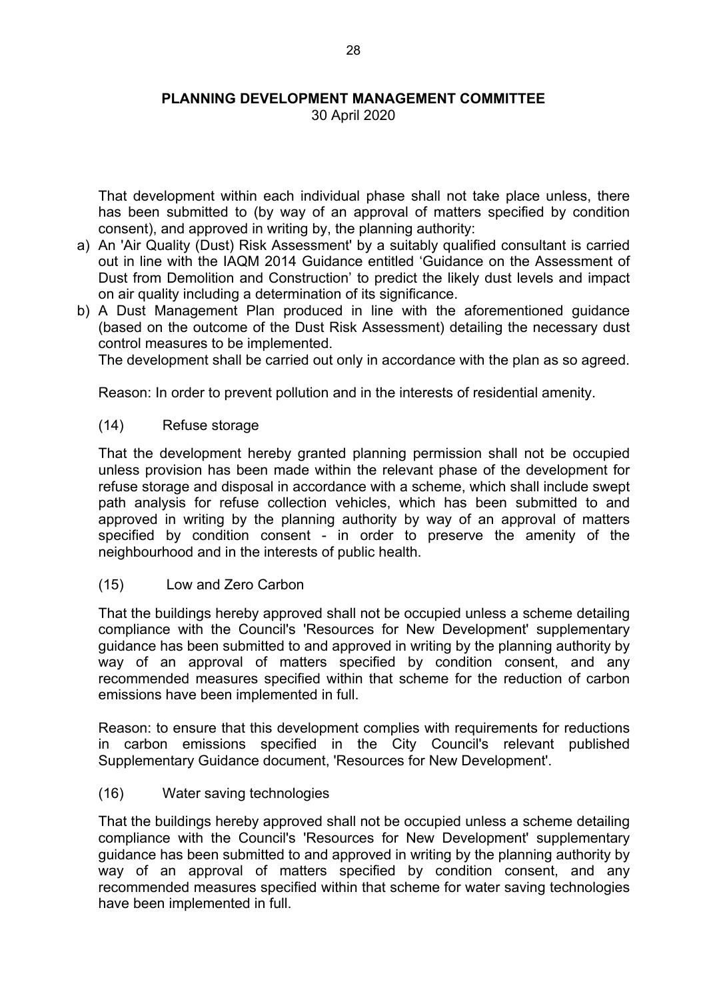30 April 2020

That development within each individual phase shall not take place unless, there has been submitted to (by way of an approval of matters specified by condition consent), and approved in writing by, the planning authority:

- a) An 'Air Quality (Dust) Risk Assessment' by a suitably qualified consultant is carried out in line with the IAQM 2014 Guidance entitled 'Guidance on the Assessment of Dust from Demolition and Construction' to predict the likely dust levels and impact on air quality including a determination of its significance.
- b) A Dust Management Plan produced in line with the aforementioned guidance (based on the outcome of the Dust Risk Assessment) detailing the necessary dust control measures to be implemented.

The development shall be carried out only in accordance with the plan as so agreed.

Reason: In order to prevent pollution and in the interests of residential amenity.

#### (14) Refuse storage

That the development hereby granted planning permission shall not be occupied unless provision has been made within the relevant phase of the development for refuse storage and disposal in accordance with a scheme, which shall include swept path analysis for refuse collection vehicles, which has been submitted to and approved in writing by the planning authority by way of an approval of matters specified by condition consent - in order to preserve the amenity of the neighbourhood and in the interests of public health.

(15) Low and Zero Carbon

That the buildings hereby approved shall not be occupied unless a scheme detailing compliance with the Council's 'Resources for New Development' supplementary guidance has been submitted to and approved in writing by the planning authority by way of an approval of matters specified by condition consent, and any recommended measures specified within that scheme for the reduction of carbon emissions have been implemented in full.

Reason: to ensure that this development complies with requirements for reductions in carbon emissions specified in the City Council's relevant published Supplementary Guidance document, 'Resources for New Development'.

(16) Water saving technologies

That the buildings hereby approved shall not be occupied unless a scheme detailing compliance with the Council's 'Resources for New Development' supplementary guidance has been submitted to and approved in writing by the planning authority by way of an approval of matters specified by condition consent, and any recommended measures specified within that scheme for water saving technologies have been implemented in full.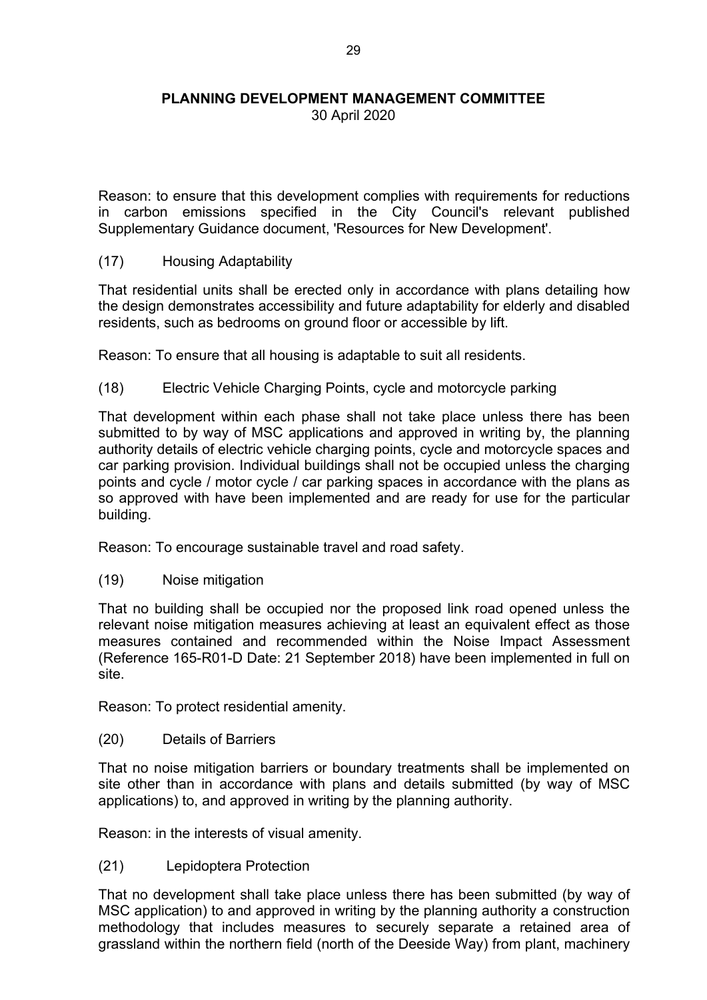30 April 2020

Reason: to ensure that this development complies with requirements for reductions in carbon emissions specified in the City Council's relevant published Supplementary Guidance document, 'Resources for New Development'.

(17) Housing Adaptability

That residential units shall be erected only in accordance with plans detailing how the design demonstrates accessibility and future adaptability for elderly and disabled residents, such as bedrooms on ground floor or accessible by lift.

Reason: To ensure that all housing is adaptable to suit all residents.

(18) Electric Vehicle Charging Points, cycle and motorcycle parking

That development within each phase shall not take place unless there has been submitted to by way of MSC applications and approved in writing by, the planning authority details of electric vehicle charging points, cycle and motorcycle spaces and car parking provision. Individual buildings shall not be occupied unless the charging points and cycle / motor cycle / car parking spaces in accordance with the plans as so approved with have been implemented and are ready for use for the particular building.

Reason: To encourage sustainable travel and road safety.

(19) Noise mitigation

That no building shall be occupied nor the proposed link road opened unless the relevant noise mitigation measures achieving at least an equivalent effect as those measures contained and recommended within the Noise Impact Assessment (Reference 165-R01-D Date: 21 September 2018) have been implemented in full on site.

Reason: To protect residential amenity.

(20) Details of Barriers

That no noise mitigation barriers or boundary treatments shall be implemented on site other than in accordance with plans and details submitted (by way of MSC applications) to, and approved in writing by the planning authority.

Reason: in the interests of visual amenity.

(21) Lepidoptera Protection

That no development shall take place unless there has been submitted (by way of MSC application) to and approved in writing by the planning authority a construction methodology that includes measures to securely separate a retained area of grassland within the northern field (north of the Deeside Way) from plant, machinery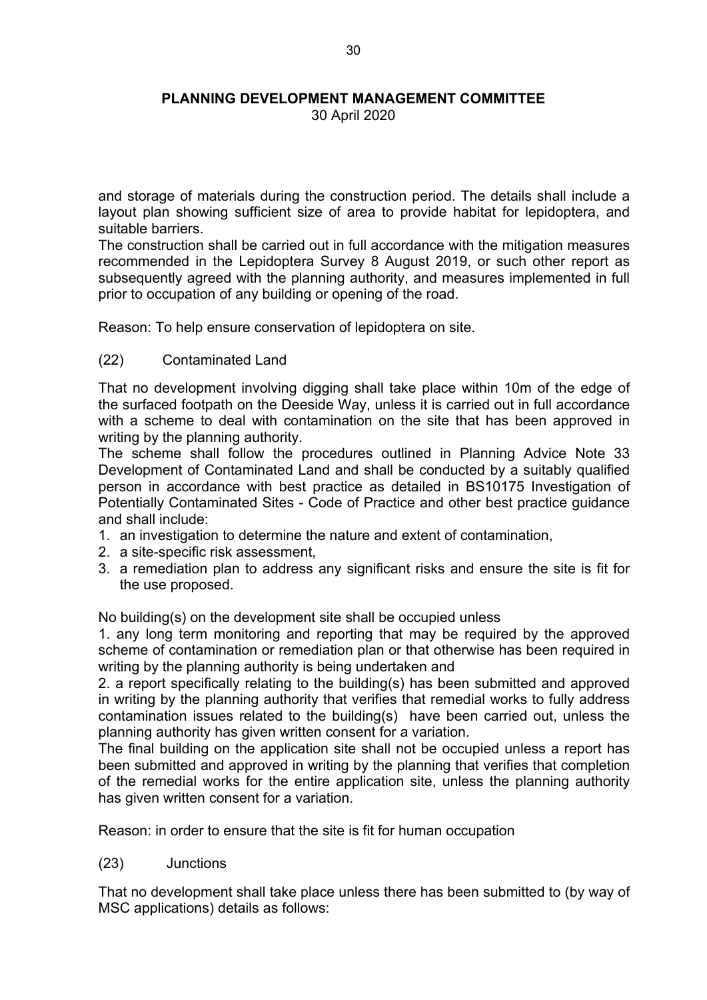30 April 2020

and storage of materials during the construction period. The details shall include a layout plan showing sufficient size of area to provide habitat for lepidoptera, and suitable barriers.

The construction shall be carried out in full accordance with the mitigation measures recommended in the Lepidoptera Survey 8 August 2019, or such other report as subsequently agreed with the planning authority, and measures implemented in full prior to occupation of any building or opening of the road.

Reason: To help ensure conservation of lepidoptera on site.

# (22) Contaminated Land

That no development involving digging shall take place within 10m of the edge of the surfaced footpath on the Deeside Way, unless it is carried out in full accordance with a scheme to deal with contamination on the site that has been approved in writing by the planning authority.

The scheme shall follow the procedures outlined in Planning Advice Note 33 Development of Contaminated Land and shall be conducted by a suitably qualified person in accordance with best practice as detailed in BS10175 Investigation of Potentially Contaminated Sites - Code of Practice and other best practice guidance and shall include:

- 1. an investigation to determine the nature and extent of contamination,
- 2. a site-specific risk assessment,
- 3. a remediation plan to address any significant risks and ensure the site is fit for the use proposed.

No building(s) on the development site shall be occupied unless

1. any long term monitoring and reporting that may be required by the approved scheme of contamination or remediation plan or that otherwise has been required in writing by the planning authority is being undertaken and

2. a report specifically relating to the building(s) has been submitted and approved in writing by the planning authority that verifies that remedial works to fully address contamination issues related to the building(s) have been carried out, unless the planning authority has given written consent for a variation.

The final building on the application site shall not be occupied unless a report has been submitted and approved in writing by the planning that verifies that completion of the remedial works for the entire application site, unless the planning authority has given written consent for a variation.

Reason: in order to ensure that the site is fit for human occupation

(23) Junctions

That no development shall take place unless there has been submitted to (by way of MSC applications) details as follows: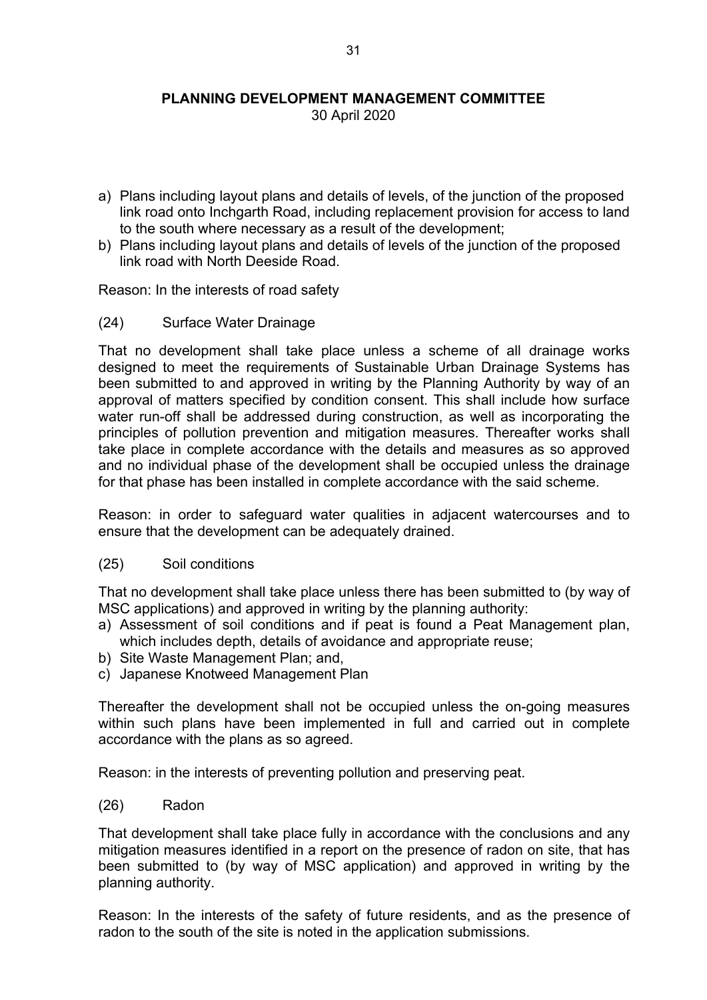30 April 2020

- a) Plans including layout plans and details of levels, of the junction of the proposed link road onto Inchgarth Road, including replacement provision for access to land to the south where necessary as a result of the development;
- b) Plans including layout plans and details of levels of the junction of the proposed link road with North Deeside Road.

Reason: In the interests of road safety

(24) Surface Water Drainage

That no development shall take place unless a scheme of all drainage works designed to meet the requirements of Sustainable Urban Drainage Systems has been submitted to and approved in writing by the Planning Authority by way of an approval of matters specified by condition consent. This shall include how surface water run-off shall be addressed during construction, as well as incorporating the principles of pollution prevention and mitigation measures. Thereafter works shall take place in complete accordance with the details and measures as so approved and no individual phase of the development shall be occupied unless the drainage for that phase has been installed in complete accordance with the said scheme.

Reason: in order to safeguard water qualities in adjacent watercourses and to ensure that the development can be adequately drained.

#### (25) Soil conditions

That no development shall take place unless there has been submitted to (by way of MSC applications) and approved in writing by the planning authority:

- a) Assessment of soil conditions and if peat is found a Peat Management plan, which includes depth, details of avoidance and appropriate reuse;
- b) Site Waste Management Plan; and,
- c) Japanese Knotweed Management Plan

Thereafter the development shall not be occupied unless the on-going measures within such plans have been implemented in full and carried out in complete accordance with the plans as so agreed.

Reason: in the interests of preventing pollution and preserving peat.

(26) Radon

That development shall take place fully in accordance with the conclusions and any mitigation measures identified in a report on the presence of radon on site, that has been submitted to (by way of MSC application) and approved in writing by the planning authority.

Reason: In the interests of the safety of future residents, and as the presence of radon to the south of the site is noted in the application submissions.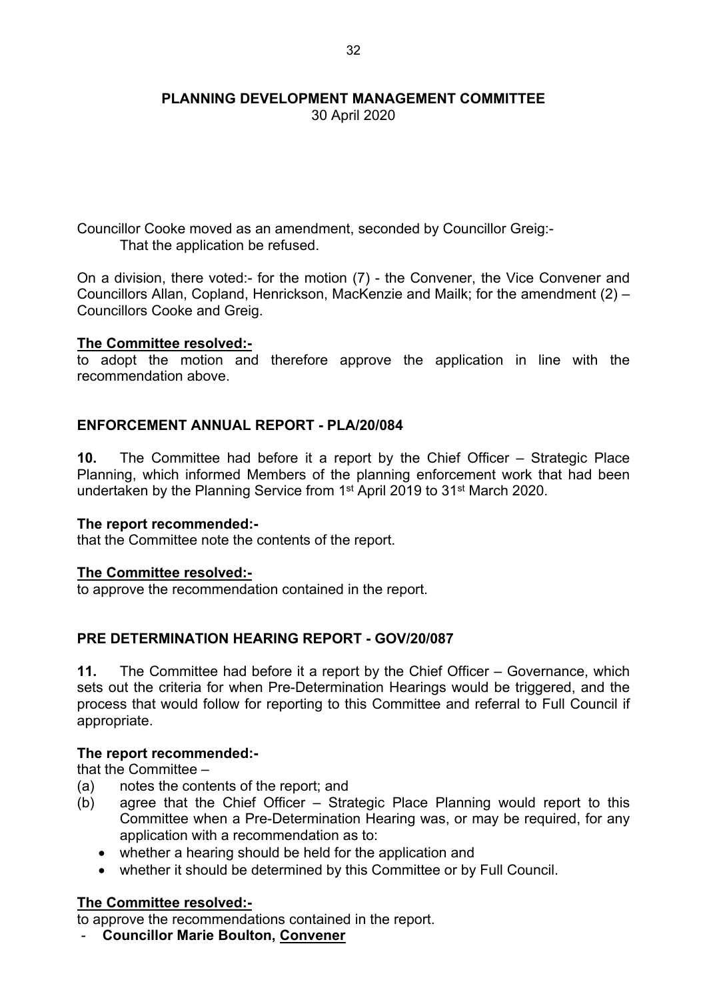30 April 2020

Councillor Cooke moved as an amendment, seconded by Councillor Greig:- That the application be refused.

On a division, there voted:- for the motion (7) - the Convener, the Vice Convener and Councillors Allan, Copland, Henrickson, MacKenzie and Mailk; for the amendment (2) – Councillors Cooke and Greig.

# **The Committee resolved:-**

to adopt the motion and therefore approve the application in line with the recommendation above.

# **ENFORCEMENT ANNUAL REPORT - PLA/20/084**

**10.** The Committee had before it a report by the Chief Officer – Strategic Place Planning, which informed Members of the planning enforcement work that had been undertaken by the Planning Service from 1<sup>st</sup> April 2019 to 31<sup>st</sup> March 2020.

#### **The report recommended:-**

that the Committee note the contents of the report.

# **The Committee resolved:-**

to approve the recommendation contained in the report.

# **PRE DETERMINATION HEARING REPORT - GOV/20/087**

**11.** The Committee had before it a report by the Chief Officer – Governance, which sets out the criteria for when Pre-Determination Hearings would be triggered, and the process that would follow for reporting to this Committee and referral to Full Council if appropriate.

# **The report recommended:-**

that the Committee –

- (a) notes the contents of the report; and
- (b) agree that the Chief Officer Strategic Place Planning would report to this Committee when a Pre-Determination Hearing was, or may be required, for any application with a recommendation as to:
	- whether a hearing should be held for the application and
	- whether it should be determined by this Committee or by Full Council.

# **The Committee resolved:-**

to approve the recommendations contained in the report.

- **Councillor Marie Boulton, Convener**